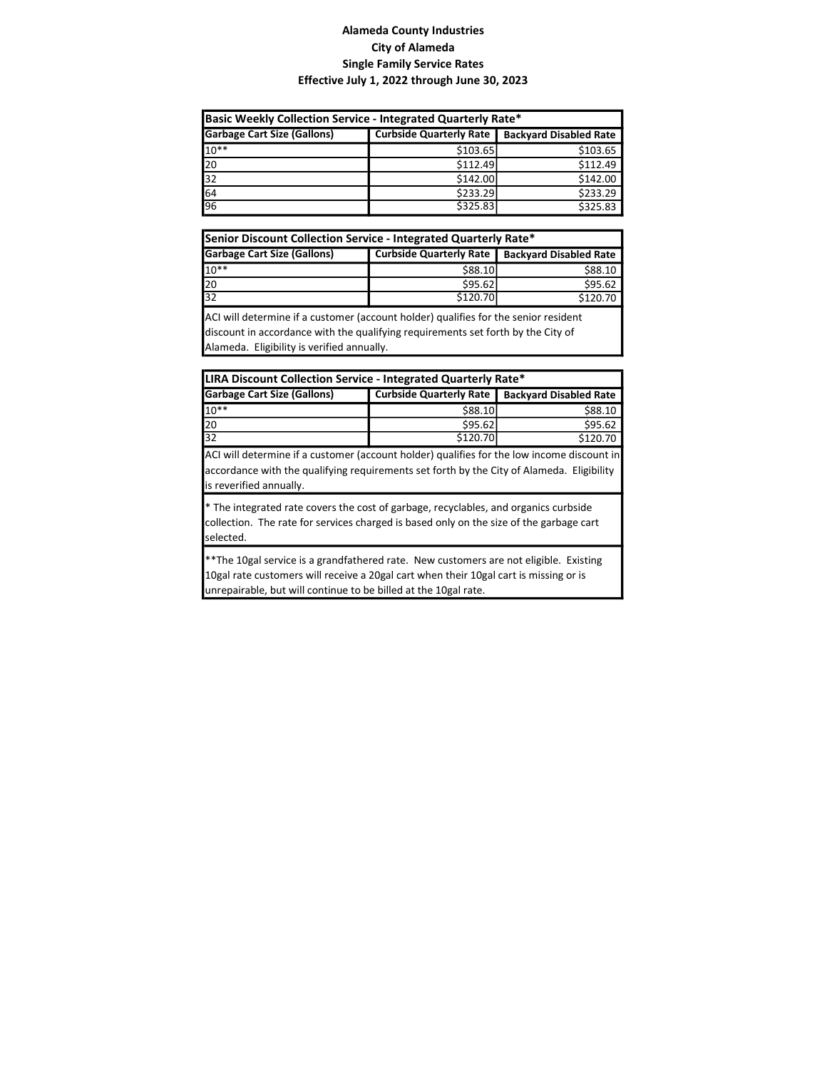| Basic Weekly Collection Service - Integrated Quarterly Rate*                                          |          |          |  |  |  |
|-------------------------------------------------------------------------------------------------------|----------|----------|--|--|--|
| <b>Garbage Cart Size (Gallons)</b><br><b>Curbside Quarterly Rate</b><br><b>Backyard Disabled Rate</b> |          |          |  |  |  |
| $10**$                                                                                                | \$103.65 | \$103.65 |  |  |  |
| 20                                                                                                    | \$112.49 | \$112.49 |  |  |  |
| $\overline{32}$                                                                                       | \$142.00 | \$142.00 |  |  |  |
| 64                                                                                                    | \$233.29 | \$233.29 |  |  |  |
| 96                                                                                                    | \$325.83 | \$325.83 |  |  |  |

| Senior Discount Collection Service - Integrated Quarterly Rate*                        |          |          |  |  |  |
|----------------------------------------------------------------------------------------|----------|----------|--|--|--|
| <b>Garbage Cart Size (Gallons)</b><br>Curbside Quarterly Rate   Backyard Disabled Rate |          |          |  |  |  |
| $10**$                                                                                 | \$88.10  | \$88.10  |  |  |  |
| 20                                                                                     | \$95.62  | \$95.62  |  |  |  |
| $\overline{32}$                                                                        | \$120.70 | \$120.70 |  |  |  |

ACI will determine if a customer (account holder) qualifies for the senior resident discount in accordance with the qualifying requirements set forth by the City of Alameda. Eligibility is verified annually.

| LIRA Discount Collection Service - Integrated Quarterly Rate*                                  |          |          |  |  |  |
|------------------------------------------------------------------------------------------------|----------|----------|--|--|--|
| <b>Garbage Cart Size (Gallons)</b><br>Curbside Quarterly Rate<br><b>Backyard Disabled Rate</b> |          |          |  |  |  |
| $10**$                                                                                         | \$88.10  | \$88.10  |  |  |  |
| 20                                                                                             | \$95.62  | \$95.62  |  |  |  |
| $\overline{32}$                                                                                | \$120.70 | \$120.70 |  |  |  |

ACI will determine if a customer (account holder) qualifies for the low income discount in accordance with the qualifying requirements set forth by the City of Alameda. Eligibility is reverified annually.

\* The integrated rate covers the cost of garbage, recyclables, and organics curbside collection. The rate for services charged is based only on the size of the garbage cart selected.

\*\*The 10gal service is a grandfathered rate. New customers are not eligible. Existing 10gal rate customers will receive a 20gal cart when their 10gal cart is missing or is unrepairable, but will continue to be billed at the 10gal rate.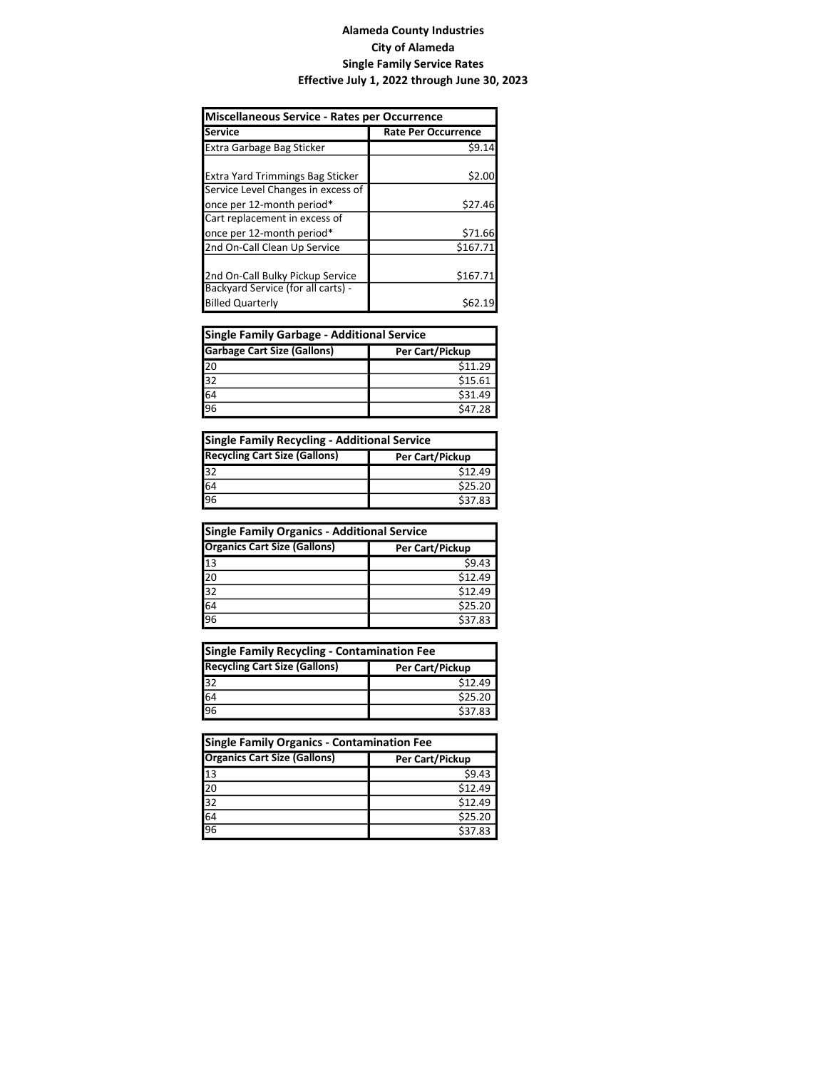| Miscellaneous Service - Rates per Occurrence                           |                            |  |
|------------------------------------------------------------------------|----------------------------|--|
| Service                                                                | <b>Rate Per Occurrence</b> |  |
| <b>Extra Garbage Bag Sticker</b>                                       | \$9.14                     |  |
| Extra Yard Trimmings Bag Sticker<br>Service Level Changes in excess of | \$2.00                     |  |
| once per 12-month period*                                              | \$27.46                    |  |
| Cart replacement in excess of<br>once per 12-month period*             | \$71.66                    |  |
| 2nd On-Call Clean Up Service                                           | \$167.71                   |  |
| 2nd On-Call Bulky Pickup Service<br>Backyard Service (for all carts) - | \$167.71                   |  |
| <b>Billed Quarterly</b>                                                | S62.                       |  |

| Single Family Garbage - Additional Service            |         |  |
|-------------------------------------------------------|---------|--|
| <b>Garbage Cart Size (Gallons)</b><br>Per Cart/Pickup |         |  |
| $\frac{20}{32}$                                       | \$11.29 |  |
|                                                       | \$15.61 |  |
| $\frac{64}{96}$                                       | \$31.49 |  |
|                                                       | \$47.28 |  |

| Single Family Recycling - Additional Service            |         |  |
|---------------------------------------------------------|---------|--|
| <b>Recycling Cart Size (Gallons)</b><br>Per Cart/Pickup |         |  |
| $\frac{32}{64}$                                         | \$12.49 |  |
|                                                         | \$25.20 |  |
|                                                         | \$37.83 |  |

| Single Family Organics - Additional Service            |         |  |
|--------------------------------------------------------|---------|--|
| <b>Organics Cart Size (Gallons)</b><br>Per Cart/Pickup |         |  |
| 13                                                     | \$9.43  |  |
| $\overline{20}$                                        | \$12.49 |  |
|                                                        | \$12.49 |  |
| $\frac{32}{64}$                                        | \$25.20 |  |
|                                                        | \$37.83 |  |

| Single Family Recycling - Contamination Fee             |         |  |
|---------------------------------------------------------|---------|--|
| <b>Recycling Cart Size (Gallons)</b><br>Per Cart/Pickup |         |  |
| $\overline{32}$                                         | \$12.49 |  |
| $\frac{64}{96}$                                         | \$25.20 |  |
|                                                         | \$37.83 |  |

| <b>Single Family Organics - Contamination Fee</b>      |         |  |
|--------------------------------------------------------|---------|--|
| <b>Organics Cart Size (Gallons)</b><br>Per Cart/Pickup |         |  |
| 13                                                     | \$9.43  |  |
| 20                                                     | \$12.49 |  |
| 32                                                     | \$12.49 |  |
| 64                                                     | \$25.20 |  |
| 96                                                     | \$37.83 |  |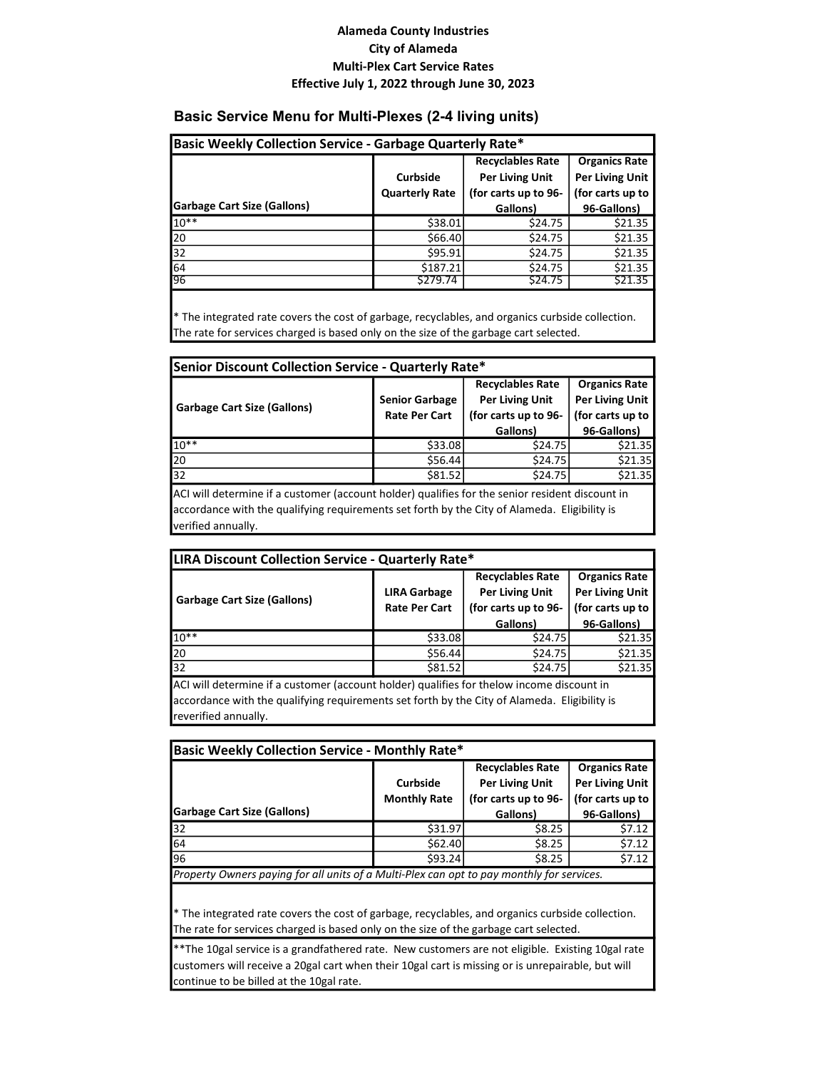#### Basic Service Menu for Multi-Plexes (2-4 living units)

| Basic Weekly Collection Service - Garbage Quarterly Rate* |                       |                         |                      |
|-----------------------------------------------------------|-----------------------|-------------------------|----------------------|
|                                                           |                       | <b>Recyclables Rate</b> | <b>Organics Rate</b> |
|                                                           | <b>Curbside</b>       | <b>Per Living Unit</b>  | Per Living Unit      |
|                                                           | <b>Quarterly Rate</b> | (for carts up to 96-    | (for carts up to     |
| <b>Garbage Cart Size (Gallons)</b>                        |                       | Gallons)                | 96-Gallons)          |
| $10**$                                                    | \$38.01               | \$24.75                 | \$21.35              |
| 20                                                        | \$66.40               | \$24.75                 | \$21.35              |
| 32                                                        | \$95.91               | \$24.75                 | \$21.35              |
| 64                                                        | \$187.21              | \$24.75                 | \$21.35              |
| 96                                                        | \$279.74              | \$24.75                 | \$21.35              |

\* The integrated rate covers the cost of garbage, recyclables, and organics curbside collection. The rate for services charged is based only on the size of the garbage cart selected.

| Senior Discount Collection Service - Quarterly Rate* |                                               |                                                                           |                                                                    |
|------------------------------------------------------|-----------------------------------------------|---------------------------------------------------------------------------|--------------------------------------------------------------------|
| <b>Garbage Cart Size (Gallons)</b>                   | <b>Senior Garbage</b><br><b>Rate Per Cart</b> | <b>Recyclables Rate</b><br><b>Per Living Unit</b><br>(for carts up to 96- | <b>Organics Rate</b><br><b>Per Living Unit</b><br>(for carts up to |
|                                                      |                                               | Gallons)                                                                  | 96-Gallons)                                                        |
| $10**$                                               | \$33.08                                       | \$24.75                                                                   | \$21.35                                                            |
| 20                                                   | \$56.44                                       | \$24.75                                                                   | \$21.35                                                            |
| $\overline{32}$                                      | \$81.52                                       | \$24.75                                                                   | \$21.35                                                            |

ACI will determine if a customer (account holder) qualifies for the senior resident discount in accordance with the qualifying requirements set forth by the City of Alameda. Eligibility is verified annually.

| <b>LIRA Discount Collection Service - Quarterly Rate*</b> |                                             |                                                                           |                                                                    |
|-----------------------------------------------------------|---------------------------------------------|---------------------------------------------------------------------------|--------------------------------------------------------------------|
| <b>Garbage Cart Size (Gallons)</b>                        | <b>LIRA Garbage</b><br><b>Rate Per Cart</b> | <b>Recyclables Rate</b><br><b>Per Living Unit</b><br>(for carts up to 96- | <b>Organics Rate</b><br><b>Per Living Unit</b><br>(for carts up to |
|                                                           |                                             | Gallons)                                                                  | 96-Gallons)                                                        |
| $10**$                                                    | \$33.08                                     | \$24.75                                                                   | \$21.35                                                            |
| 20                                                        | \$56.44                                     | \$24.75                                                                   | \$21.35                                                            |
| 32                                                        | \$81.52                                     | \$24.75                                                                   | \$21.35                                                            |

ACI will determine if a customer (account holder) qualifies for thelow income discount in accordance with the qualifying requirements set forth by the City of Alameda. Eligibility is reverified annually.

| Basic Weekly Collection Service - Monthly Rate*                                           |                     |                                                 |                        |  |  |  |  |
|-------------------------------------------------------------------------------------------|---------------------|-------------------------------------------------|------------------------|--|--|--|--|
|                                                                                           |                     | <b>Organics Rate</b><br><b>Recyclables Rate</b> |                        |  |  |  |  |
|                                                                                           | <b>Curbside</b>     | <b>Per Living Unit</b>                          | <b>Per Living Unit</b> |  |  |  |  |
|                                                                                           | <b>Monthly Rate</b> | (for carts up to 96-                            | (for carts up to       |  |  |  |  |
| <b>Garbage Cart Size (Gallons)</b>                                                        |                     | Gallons)                                        | 96-Gallons)            |  |  |  |  |
| 32                                                                                        | \$31.97             | \$8.25                                          | \$7.12                 |  |  |  |  |
| 64                                                                                        | \$62.40             | \$8.25                                          | \$7.12                 |  |  |  |  |
| 96                                                                                        | \$93.24             | \$8.25                                          | \$7.12                 |  |  |  |  |
| Property Owners paying for all units of a Multi-Plex can opt to pay monthly for services. |                     |                                                 |                        |  |  |  |  |
|                                                                                           |                     |                                                 |                        |  |  |  |  |

\* The integrated rate covers the cost of garbage, recyclables, and organics curbside collection. The rate for services charged is based only on the size of the garbage cart selected.

\*\*The 10gal service is a grandfathered rate. New customers are not eligible. Existing 10gal rate customers will receive a 20gal cart when their 10gal cart is missing or is unrepairable, but will continue to be billed at the 10gal rate.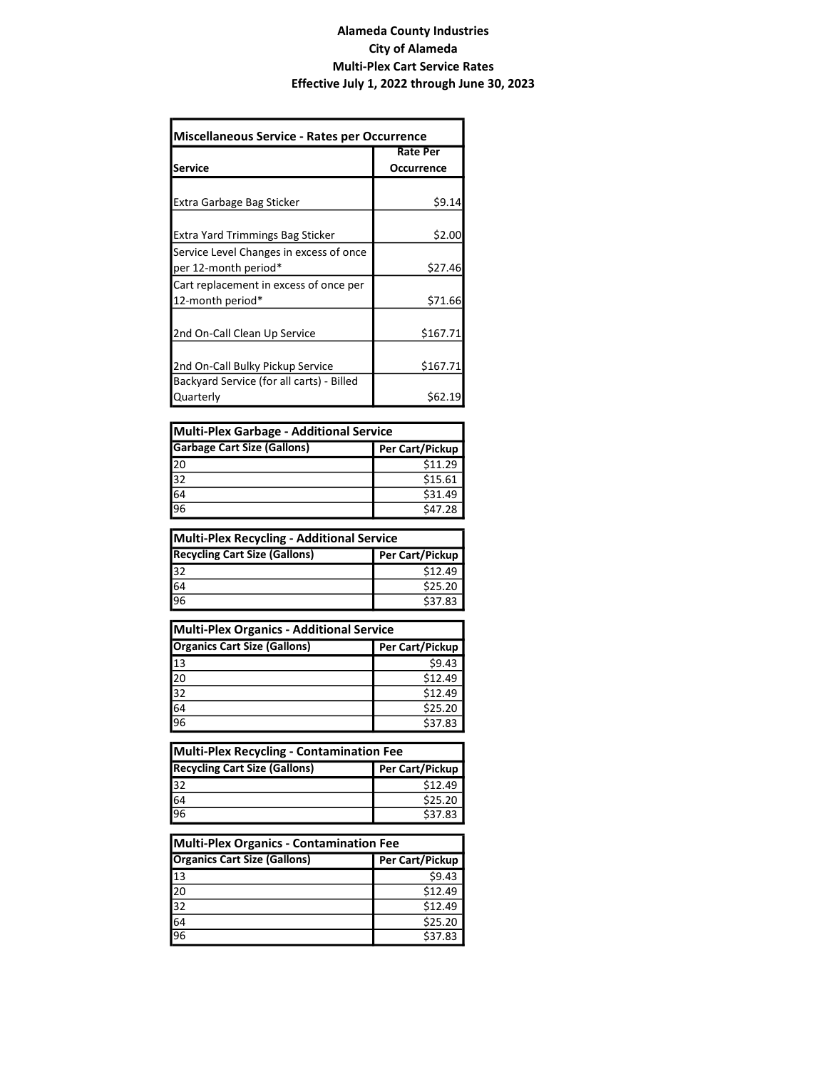| <b>Miscellaneous Service - Rates per Occurrence</b> |                 |  |  |  |  |
|-----------------------------------------------------|-----------------|--|--|--|--|
|                                                     | <b>Rate Per</b> |  |  |  |  |
| <b>Service</b>                                      | Occurrence      |  |  |  |  |
|                                                     |                 |  |  |  |  |
| Extra Garbage Bag Sticker                           | \$9.14          |  |  |  |  |
|                                                     |                 |  |  |  |  |
| <b>Extra Yard Trimmings Bag Sticker</b>             | \$2.00          |  |  |  |  |
| Service Level Changes in excess of once             |                 |  |  |  |  |
| per 12-month period*                                | \$27.46         |  |  |  |  |
| Cart replacement in excess of once per              |                 |  |  |  |  |
| 12-month period*                                    | \$71.66         |  |  |  |  |
|                                                     |                 |  |  |  |  |
| 2nd On-Call Clean Up Service                        | \$167.71        |  |  |  |  |
|                                                     |                 |  |  |  |  |
| 2nd On-Call Bulky Pickup Service                    | \$167.71        |  |  |  |  |
| Backyard Service (for all carts) - Billed           |                 |  |  |  |  |
| Quarterly                                           | \$62.19         |  |  |  |  |

| Multi-Plex Garbage - Additional Service  |                 |  |  |  |
|------------------------------------------|-----------------|--|--|--|
| <b>Garbage Cart Size (Gallons)</b>       | Per Cart/Pickup |  |  |  |
| $\frac{20}{32}$<br>$\frac{32}{64}$<br>96 | \$11.29         |  |  |  |
|                                          | \$15.61         |  |  |  |
|                                          | \$31.49         |  |  |  |
|                                          | \$47.28         |  |  |  |

| Multi-Plex Recycling - Additional Service               |         |  |  |  |  |
|---------------------------------------------------------|---------|--|--|--|--|
| <b>Recycling Cart Size (Gallons)</b><br>Per Cart/Pickup |         |  |  |  |  |
| $\overline{32}$                                         | \$12.49 |  |  |  |  |
| $\frac{64}{96}$                                         | \$25.20 |  |  |  |  |
|                                                         | \$37.83 |  |  |  |  |

| Multi-Plex Organics - Additional Service       |                 |  |  |  |  |
|------------------------------------------------|-----------------|--|--|--|--|
| <b>Organics Cart Size (Gallons)</b>            | Per Cart/Pickup |  |  |  |  |
| $\overline{13}$                                | \$9.43          |  |  |  |  |
| 20                                             | \$12.49         |  |  |  |  |
| $\frac{1}{32}$ $\frac{32}{64}$ $\frac{64}{96}$ | \$12.49         |  |  |  |  |
|                                                | \$25.20         |  |  |  |  |
|                                                | \$37.83         |  |  |  |  |

| Multi-Plex Recycling - Contamination Fee                |         |  |  |  |  |
|---------------------------------------------------------|---------|--|--|--|--|
| <b>Recycling Cart Size (Gallons)</b><br>Per Cart/Pickup |         |  |  |  |  |
| $\overline{32}$                                         | \$12.49 |  |  |  |  |
| 64                                                      | \$25.20 |  |  |  |  |
| 96                                                      | \$37.83 |  |  |  |  |

| Multi-Plex Organics - Contamination Fee |                 |  |  |  |  |
|-----------------------------------------|-----------------|--|--|--|--|
| <b>Organics Cart Size (Gallons)</b>     | Per Cart/Pickup |  |  |  |  |
| 13                                      | \$9.43          |  |  |  |  |
| $\frac{20}{32}$                         | \$12.49         |  |  |  |  |
|                                         | \$12.49         |  |  |  |  |
| $\frac{64}{96}$                         | \$25.20         |  |  |  |  |
|                                         | \$37.83         |  |  |  |  |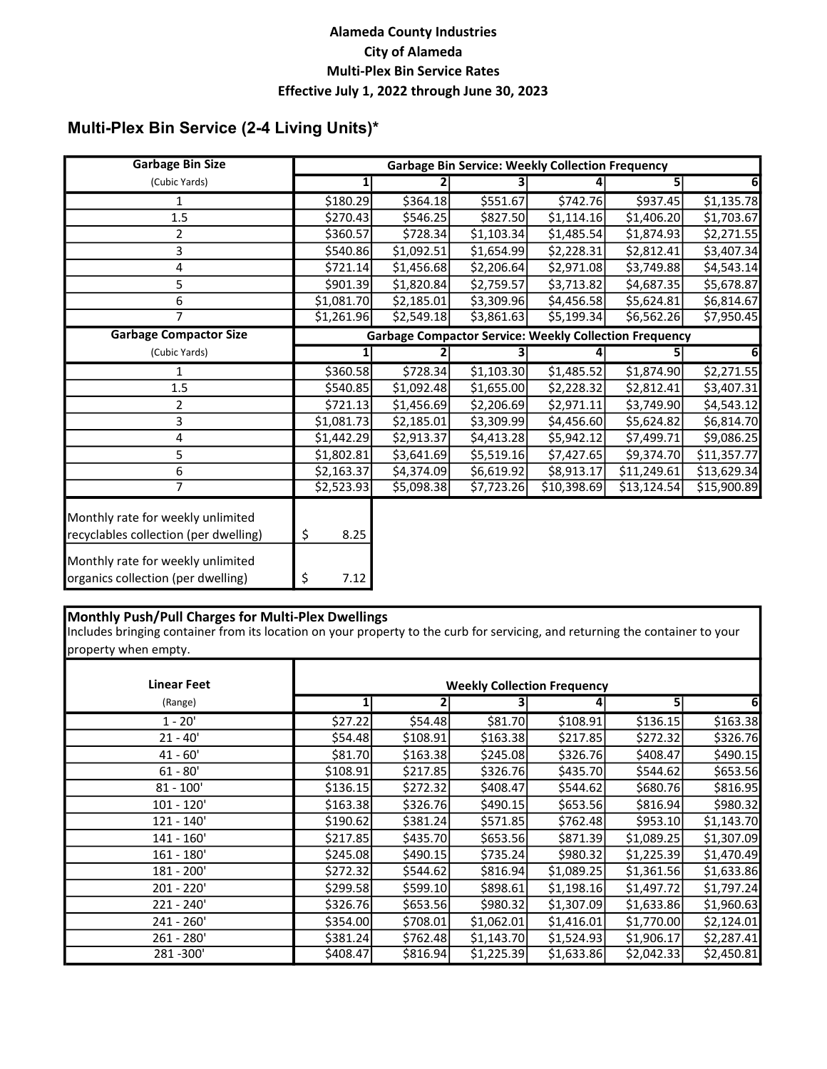# Multi-Plex Bin Service (2-4 Living Units)\*

| <b>Garbage Bin Size</b>                                                    | <b>Garbage Bin Service: Weekly Collection Frequency</b> |                                                               |            |             |             |             |
|----------------------------------------------------------------------------|---------------------------------------------------------|---------------------------------------------------------------|------------|-------------|-------------|-------------|
| (Cubic Yards)                                                              | 1                                                       |                                                               |            |             | 5           | 61          |
| 1                                                                          | \$180.29                                                | \$364.18                                                      | \$551.67   | \$742.76    | \$937.45    | \$1,135.78  |
| 1.5                                                                        | \$270.43                                                | \$546.25                                                      | \$827.50   | \$1,114.16  | \$1,406.20  | \$1,703.67  |
| 2                                                                          | \$360.57                                                | \$728.34                                                      | \$1,103.34 | \$1,485.54  | \$1,874.93  | \$2,271.55  |
| 3                                                                          | \$540.86                                                | \$1,092.51                                                    | \$1,654.99 | \$2,228.31  | \$2,812.41  | \$3,407.34  |
| 4                                                                          | \$721.14                                                | \$1,456.68                                                    | \$2,206.64 | \$2,971.08  | \$3,749.88  | \$4,543.14  |
| 5                                                                          | \$901.39                                                | \$1,820.84                                                    | \$2,759.57 | \$3,713.82  | \$4,687.35  | \$5,678.87  |
| 6                                                                          | \$1,081.70                                              | \$2,185.01                                                    | \$3,309.96 | \$4,456.58  | \$5,624.81  | \$6,814.67  |
| 7                                                                          | \$1,261.96                                              | \$2,549.18                                                    | \$3,861.63 | \$5,199.34  | \$6,562.26  | \$7,950.45  |
| <b>Garbage Compactor Size</b>                                              |                                                         | <b>Garbage Compactor Service: Weekly Collection Frequency</b> |            |             |             |             |
| (Cubic Yards)                                                              |                                                         |                                                               |            |             |             |             |
| 1                                                                          | \$360.58                                                | \$728.34                                                      | \$1,103.30 | \$1,485.52  | \$1,874.90  | \$2,271.55  |
| 1.5                                                                        | \$540.85                                                | \$1,092.48                                                    | \$1,655.00 | \$2,228.32  | \$2,812.41  | \$3,407.31  |
| 2                                                                          | \$721.13                                                | \$1,456.69                                                    | \$2,206.69 | \$2,971.11  | \$3,749.90  | \$4,543.12  |
| 3                                                                          | \$1,081.73                                              | \$2,185.01                                                    | \$3,309.99 | \$4,456.60  | \$5,624.82  | \$6,814.70  |
| 4                                                                          | \$1,442.29                                              | \$2,913.37                                                    | \$4,413.28 | \$5,942.12  | \$7,499.71  | \$9,086.25  |
| 5                                                                          | \$1,802.81                                              | \$3,641.69                                                    | \$5,519.16 | \$7,427.65  | \$9,374.70  | \$11,357.77 |
| 6                                                                          | \$2,163.37                                              | \$4,374.09                                                    | \$6,619.92 | \$8,913.17  | \$11,249.61 | \$13,629.34 |
| 7                                                                          | \$2,523.93                                              | \$5,098.38                                                    | \$7,723.26 | \$10,398.69 | \$13,124.54 | \$15,900.89 |
| Monthly rate for weekly unlimited<br>recyclables collection (per dwelling) | \$<br>8.25                                              |                                                               |            |             |             |             |
| Monthly rate for weekly unlimited<br>organics collection (per dwelling)    | \$<br>7.12                                              |                                                               |            |             |             |             |

#### Monthly Push/Pull Charges for Multi-Plex Dwellings

Includes bringing container from its location on your property to the curb for servicing, and returning the container to your property when empty.

| <b>Linear Feet</b> |          |          |            | <b>Weekly Collection Frequency</b> |            |            |
|--------------------|----------|----------|------------|------------------------------------|------------|------------|
| (Range)            |          |          |            |                                    | 5          | 61         |
| $1 - 20'$          | \$27.22  | \$54.48  | \$81.70    | \$108.91                           | \$136.15   | \$163.38   |
| $21 - 40'$         | \$54.48  | \$108.91 | \$163.38   | \$217.85                           | \$272.32   | \$326.76   |
| $41 - 60'$         | \$81.70  | \$163.38 | \$245.08   | \$326.76                           | \$408.47   | \$490.15   |
| $61 - 80'$         | \$108.91 | \$217.85 | \$326.76   | \$435.70                           | \$544.62   | \$653.56   |
| $81 - 100'$        | \$136.15 | \$272.32 | \$408.47   | \$544.62                           | \$680.76   | \$816.95   |
| $101 - 120'$       | \$163.38 | \$326.76 | \$490.15   | \$653.56                           | \$816.94   | \$980.32   |
| 121 - 140'         | \$190.62 | \$381.24 | \$571.85   | \$762.48                           | \$953.10   | \$1,143.70 |
| 141 - 160'         | \$217.85 | \$435.70 | \$653.56   | \$871.39                           | \$1,089.25 | \$1,307.09 |
| 161 - 180'         | \$245.08 | \$490.15 | \$735.24]  | \$980.32                           | \$1,225.39 | \$1,470.49 |
| 181 - 200'         | \$272.32 | \$544.62 | \$816.94]  | \$1,089.25                         | \$1,361.56 | \$1,633.86 |
| 201 - 220'         | \$299.58 | \$599.10 | \$898.61   | \$1,198.16                         | \$1,497.72 | \$1,797.24 |
| 221 - 240'         | \$326.76 | \$653.56 | \$980.32   | \$1,307.09                         | \$1,633.86 | \$1,960.63 |
| 241 - 260'         | \$354.00 | \$708.01 | \$1,062.01 | \$1,416.01                         | \$1,770.00 | \$2,124.01 |
| 261 - 280'         | \$381.24 | \$762.48 | \$1,143.70 | \$1,524.93                         | \$1,906.17 | \$2,287.41 |
| 281-300'           | \$408.47 | \$816.94 | \$1,225.39 | \$1,633.86                         | \$2,042.33 | \$2,450.81 |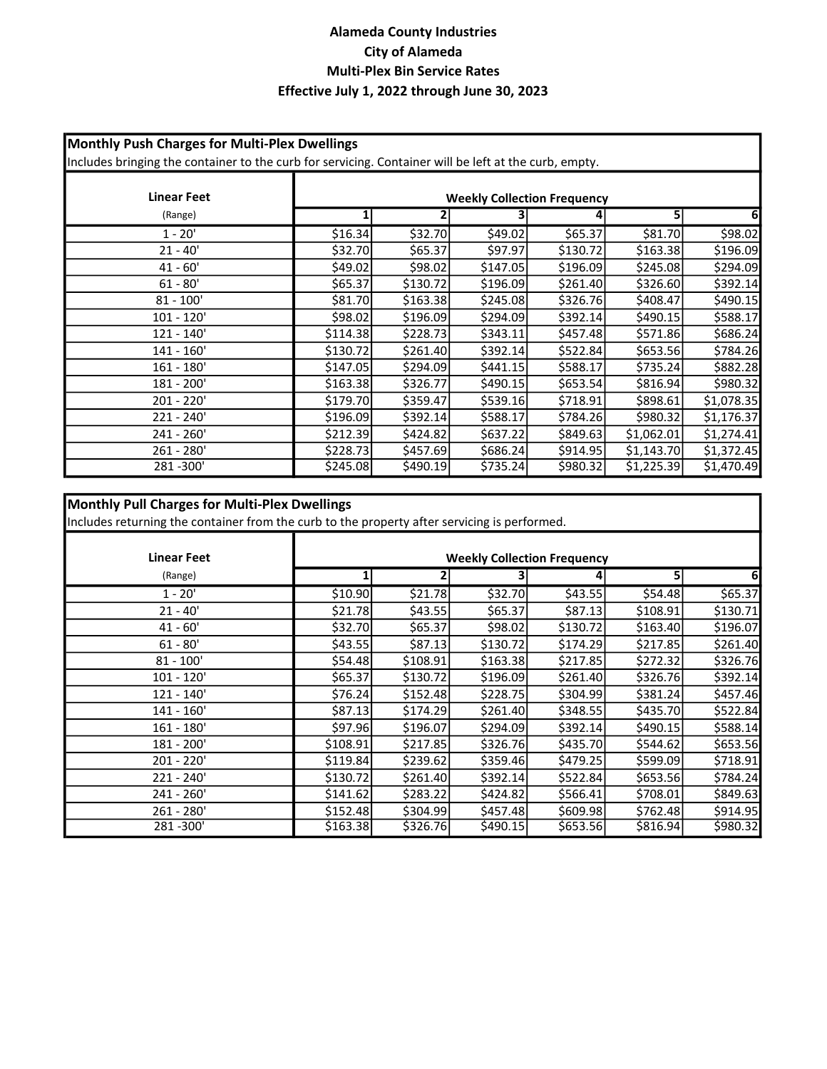### Monthly Push Charges for Multi-Plex Dwellings

Includes bringing the container to the curb for servicing. Container will be left at the curb, empty.

| <b>Linear Feet</b> | <b>Weekly Collection Frequency</b> |          |           |           |            |            |
|--------------------|------------------------------------|----------|-----------|-----------|------------|------------|
| (Range)            | 1                                  |          |           |           | 5          | 61         |
| $1 - 20'$          | \$16.34                            | \$32.70  | \$49.02   | \$65.37   | \$81.70    | \$98.02    |
| $21 - 40'$         | \$32.70                            | \$65.37  | \$97.97   | \$130.72  | \$163.38   | \$196.09   |
| $41 - 60'$         | \$49.02                            | \$98.02  | \$147.05  | \$196.09  | \$245.08   | \$294.09   |
| $61 - 80'$         | \$65.37                            | \$130.72 | \$196.09  | \$261.40] | \$326.60   | \$392.14   |
| $81 - 100'$        | \$81.70                            | \$163.38 | \$245.08  | \$326.76  | \$408.47   | \$490.15   |
| $101 - 120'$       | \$98.02                            | \$196.09 | \$294.09  | \$392.14  | \$490.15   | \$588.17   |
| $121 - 140'$       | \$114.38                           | \$228.73 | \$343.11  | \$457.48  | \$571.86   | \$686.24   |
| $141 - 160'$       | \$130.72                           | \$261.40 | \$392.14] | \$522.84  | \$653.56   | \$784.26   |
| $161 - 180'$       | \$147.05                           | \$294.09 | \$441.15  | \$588.17  | \$735.24]  | \$882.28   |
| 181 - 200'         | \$163.38                           | \$326.77 | \$490.15  | \$653.54] | \$816.94]  | \$980.32   |
| $201 - 220'$       | \$179.70                           | \$359.47 | \$539.16  | \$718.91  | \$898.61   | \$1,078.35 |
| $221 - 240'$       | \$196.09                           | \$392.14 | \$588.17  | \$784.26  | \$980.32   | \$1,176.37 |
| $241 - 260'$       | \$212.39                           | \$424.82 | \$637.22  | \$849.63  | \$1,062.01 | \$1,274.41 |
| $261 - 280'$       | \$228.73                           | \$457.69 | \$686.24] | \$914.95  | \$1,143.70 | \$1,372.45 |
| 281-300'           | \$245.08                           | \$490.19 | \$735.24  | \$980.32  | \$1,225.39 | \$1,470.49 |

### Monthly Pull Charges for Multi-Plex Dwellings

Includes returning the container from the curb to the property after servicing is performed.

| <b>Linear Feet</b> | <b>Weekly Collection Frequency</b> |          |           |           |          |          |
|--------------------|------------------------------------|----------|-----------|-----------|----------|----------|
| (Range)            | $1\vert$                           |          |           |           | 5.       | 6        |
| $1 - 20'$          | \$10.90                            | \$21.78  | \$32.70   | \$43.55   | \$54.48  | \$65.37  |
| $21 - 40'$         | \$21.78                            | \$43.55  | \$65.37   | \$87.13   | \$108.91 | \$130.71 |
| $41 - 60'$         | \$32.70                            | \$65.37  | \$98.02   | \$130.72  | \$163.40 | \$196.07 |
| $61 - 80'$         | \$43.55                            | \$87.13  | \$130.72  | \$174.29  | \$217.85 | \$261.40 |
| $81 - 100'$        | \$54.48                            | \$108.91 | \$163.38  | \$217.85  | \$272.32 | \$326.76 |
| $101 - 120'$       | \$65.37                            | \$130.72 | \$196.09  | \$261.40  | \$326.76 | \$392.14 |
| 121 - 140'         | \$76.24                            | \$152.48 | \$228.75  | \$304.99  | \$381.24 | \$457.46 |
| $141 - 160'$       | \$87.13                            | \$174.29 | \$261.40  | \$348.55  | \$435.70 | \$522.84 |
| $161 - 180'$       | \$97.96                            | \$196.07 | \$294.09  | \$392.14] | \$490.15 | \$588.14 |
| 181 - 200'         | \$108.91                           | \$217.85 | \$326.76  | \$435.70  | \$544.62 | \$653.56 |
| $201 - 220'$       | \$119.84                           | \$239.62 | \$359.46  | \$479.25  | \$599.09 | \$718.91 |
| $221 - 240'$       | \$130.72                           | \$261.40 | \$392.14] | \$522.84  | \$653.56 | \$784.24 |
| 241 - 260'         | \$141.62                           | \$283.22 | \$424.82  | \$566.41  | \$708.01 | \$849.63 |
| $261 - 280'$       | \$152.48                           | \$304.99 | \$457.48  | \$609.98] | \$762.48 | \$914.95 |
| 281-300'           | \$163.38                           | \$326.76 | \$490.15  | \$653.56  | \$816.94 | \$980.32 |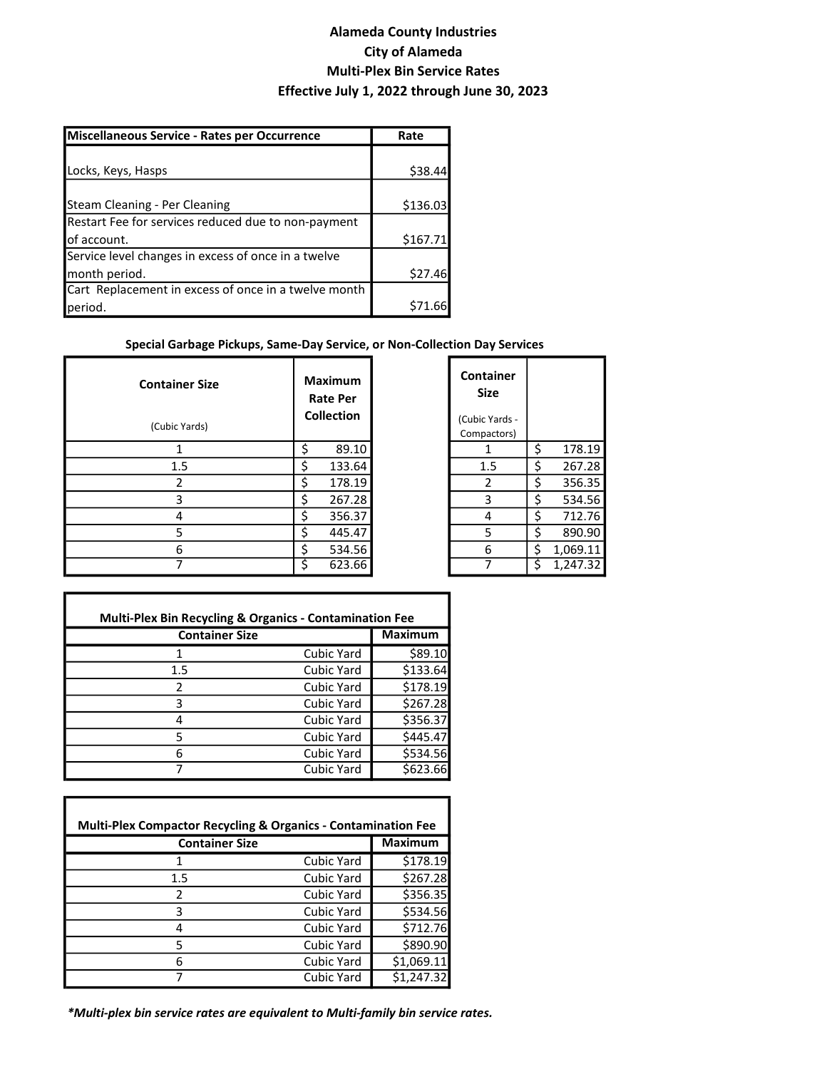| Miscellaneous Service - Rates per Occurrence         | Rate     |  |
|------------------------------------------------------|----------|--|
|                                                      |          |  |
| Locks, Keys, Hasps                                   | \$38.44  |  |
|                                                      |          |  |
| Steam Cleaning - Per Cleaning                        | \$136.03 |  |
| Restart Fee for services reduced due to non-payment  |          |  |
| lof account.                                         | \$167.71 |  |
| Service level changes in excess of once in a twelve  |          |  |
| month period.                                        | \$27.46  |  |
| Cart Replacement in excess of once in a twelve month |          |  |
| period.                                              | .66      |  |

#### Special Garbage Pickups, Same-Day Service, or Non-Collection Day Services

| <b>Container Size</b> | <b>Maximum</b><br><b>Rate Per</b><br><b>Collection</b> |        | Container<br><b>Size</b><br>(Cubic Yards - |   |          |
|-----------------------|--------------------------------------------------------|--------|--------------------------------------------|---|----------|
| (Cubic Yards)         |                                                        |        | Compactors)                                |   |          |
|                       |                                                        | 89.10  |                                            | ς | 178.19   |
| 1.5                   |                                                        | 133.64 | 1.5                                        | ς | 267.28   |
| 2                     |                                                        | 178.19 | 2                                          | ς | 356.35   |
| 3                     |                                                        | 267.28 | 3                                          | ς | 534.56   |
| 4                     |                                                        | 356.37 | 4                                          | S | 712.76   |
| 5                     |                                                        | 445.47 | 5                                          | ς | 890.90   |
| 6                     |                                                        | 534.56 | 6                                          | Ś | 1,069.11 |
|                       |                                                        | 623.66 |                                            | Ś | 1,247.32 |

| <b>Container</b><br>Size |                |
|--------------------------|----------------|
| (Cubic Yards -           |                |
| Compactors)              |                |
| 1                        | \$<br>178.19   |
| 1.5                      | \$<br>267.28   |
| 2                        | \$<br>356.35   |
| 3                        | \$<br>534.56   |
| 4                        | \$<br>712.76   |
| 5                        | \$<br>890.90   |
| 6                        | \$<br>1,069.11 |
|                          | \$<br>1,247.32 |

| <b>Multi-Plex Bin Recycling &amp; Organics - Contamination Fee</b> |            |          |  |  |  |
|--------------------------------------------------------------------|------------|----------|--|--|--|
| <b>Container Size</b>                                              |            |          |  |  |  |
|                                                                    | Cubic Yard | \$89.10  |  |  |  |
| 1.5                                                                | Cubic Yard | \$133.64 |  |  |  |
| 2                                                                  | Cubic Yard | \$178.19 |  |  |  |
| ੨                                                                  | Cubic Yard | \$267.28 |  |  |  |
|                                                                    | Cubic Yard | \$356.37 |  |  |  |
|                                                                    | Cubic Yard | \$445.47 |  |  |  |
| 6                                                                  | Cubic Yard | \$534.56 |  |  |  |
|                                                                    | Cubic Yard | \$623.66 |  |  |  |

| <b>Multi-Plex Compactor Recycling &amp; Organics - Contamination Fee</b> |                   |                |  |  |  |
|--------------------------------------------------------------------------|-------------------|----------------|--|--|--|
| <b>Container Size</b>                                                    |                   | <b>Maximum</b> |  |  |  |
|                                                                          | Cubic Yard        | \$178.19       |  |  |  |
| 1.5                                                                      | Cubic Yard        | \$267.28       |  |  |  |
| 2                                                                        | Cubic Yard        | \$356.35       |  |  |  |
| 3                                                                        | Cubic Yard        | \$534.56       |  |  |  |
| 4                                                                        | Cubic Yard        | \$712.76       |  |  |  |
| 5                                                                        | Cubic Yard        | \$890.90       |  |  |  |
| 6                                                                        | <b>Cubic Yard</b> | \$1,069.11     |  |  |  |
|                                                                          | Cubic Yard        | \$1,247.32     |  |  |  |

\*Multi-plex bin service rates are equivalent to Multi-family bin service rates.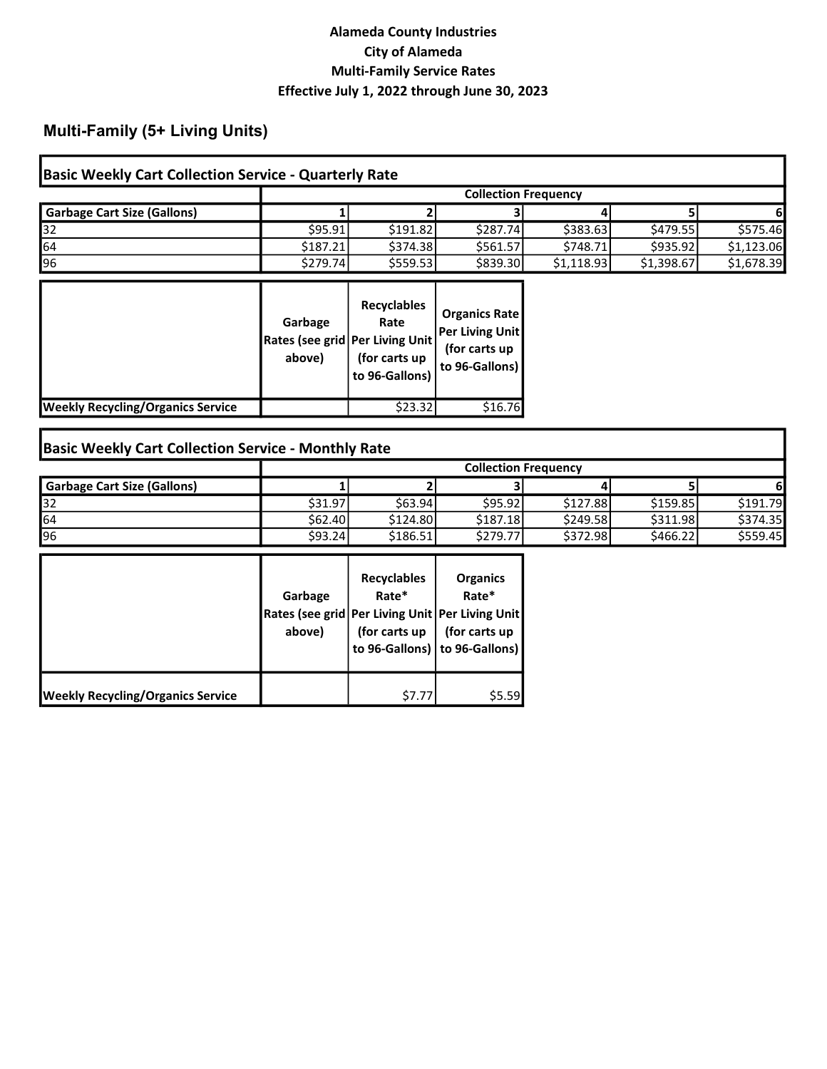# Multi-Family (5+ Living Units)

| <b>Basic Weekly Cart Collection Service - Quarterly Rate</b> |          |                             |          |            |            |            |  |
|--------------------------------------------------------------|----------|-----------------------------|----------|------------|------------|------------|--|
|                                                              |          | <b>Collection Frequency</b> |          |            |            |            |  |
| <b>Garbage Cart Size (Gallons)</b>                           |          |                             |          |            |            |            |  |
| 32                                                           | \$95.91  | \$191.82                    | \$287.74 | \$383.63   | \$479.55   | \$575.46   |  |
| 64                                                           | \$187.21 | \$374.38                    | \$561.57 | \$748.71   | \$935.92   | \$1,123.06 |  |
| 96                                                           | \$279.74 | \$5559.53                   | \$839.30 | \$1,118.93 | \$1,398.67 | \$1,678.39 |  |

|                                          | Garbage<br>above) | <b>Recyclables</b><br>Rate<br>Rates (see grid   Per Living Unit  <br>(for carts up<br>to 96-Gallons) | <b>Organics Rate</b><br><b>Per Living Unit</b><br>(for carts up<br>to 96-Gallons) |
|------------------------------------------|-------------------|------------------------------------------------------------------------------------------------------|-----------------------------------------------------------------------------------|
| <b>Weekly Recycling/Organics Service</b> |                   | \$23.32                                                                                              | \$16.76                                                                           |

# Basic Weekly Cart Collection Service - Monthly Rate

|                                    | <b>Collection Frequency</b> |          |          |          |          |           |
|------------------------------------|-----------------------------|----------|----------|----------|----------|-----------|
| <b>Garbage Cart Size (Gallons)</b> |                             |          |          |          |          |           |
| 132                                | \$31.97                     | \$63.94  | \$95.92  | \$127.88 | \$159.85 | \$191.79  |
| 64                                 | \$62.40                     | \$124.80 | \$187.18 | \$249.58 | \$311.98 | \$374.35  |
| 196                                | \$93.24l                    | \$186.51 | \$279.77 | \$372.98 | \$466.22 | \$5559.45 |

|                                          | Garbage<br>above) | <b>Recyclables</b><br>Rate*<br>(for carts up | <b>Organics</b><br>Rate*<br>Rates (see grid   Per Living Unit   Per Living Unit  <br>(for carts up<br>to 96-Gallons)   to 96-Gallons) |
|------------------------------------------|-------------------|----------------------------------------------|---------------------------------------------------------------------------------------------------------------------------------------|
| <b>Weekly Recycling/Organics Service</b> |                   | \$7.77                                       | \$5.59                                                                                                                                |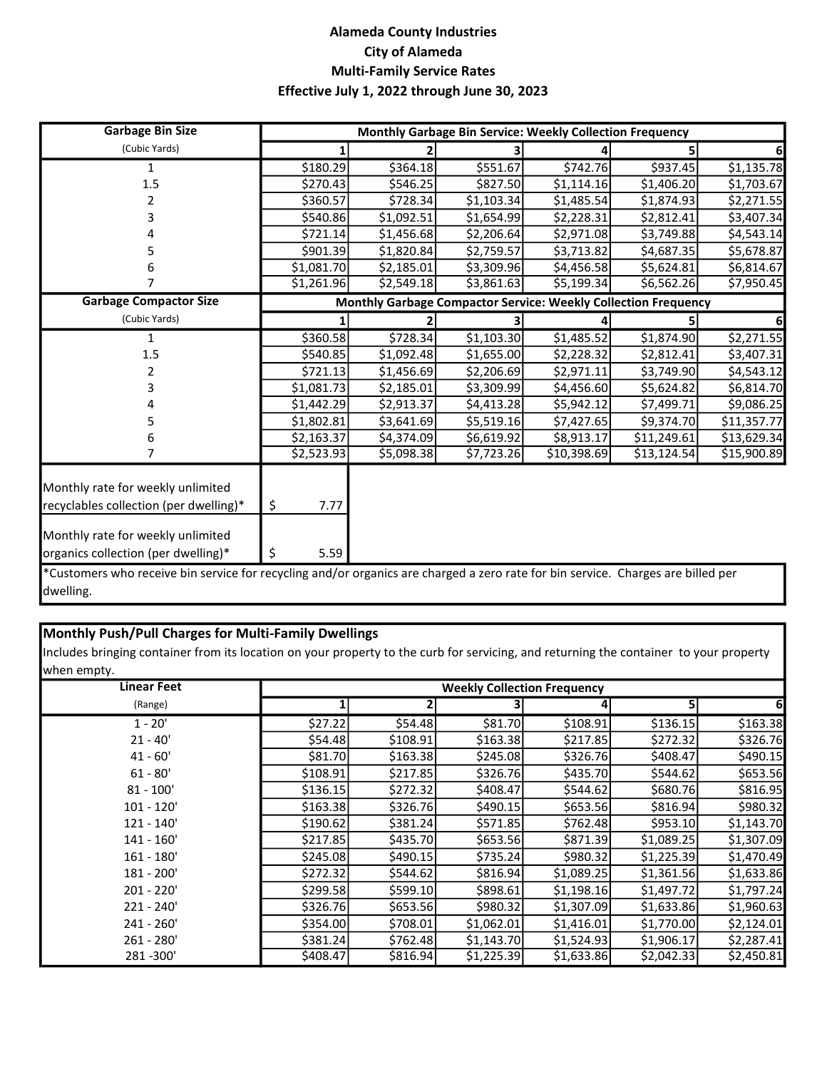| <b>Garbage Bin Size</b>                                                     |            | Monthly Garbage Bin Service: Weekly Collection Frequency |                                                                |             |             |             |
|-----------------------------------------------------------------------------|------------|----------------------------------------------------------|----------------------------------------------------------------|-------------|-------------|-------------|
| (Cubic Yards)                                                               |            |                                                          |                                                                |             |             |             |
|                                                                             | \$180.29   | \$364.18                                                 | \$551.67                                                       | \$742.76    | \$937.45    | \$1,135.78  |
| 1.5                                                                         | \$270.43   | \$546.25                                                 | \$827.50                                                       | \$1,114.16  | \$1,406.20  | \$1,703.67  |
| 2                                                                           | \$360.57   | \$728.34                                                 | \$1,103.34                                                     | \$1,485.54  | \$1,874.93  | \$2,271.55  |
| 3                                                                           | \$540.86   | \$1,092.51                                               | \$1,654.99                                                     | \$2,228.31  | \$2,812.41  | \$3,407.34  |
|                                                                             | \$721.14   | \$1,456.68                                               | \$2,206.64                                                     | \$2,971.08  | \$3,749.88  | \$4,543.14  |
|                                                                             | \$901.39   | \$1,820.84                                               | \$2,759.57                                                     | \$3,713.82  | \$4,687.35  | \$5,678.87  |
|                                                                             | \$1,081.70 | \$2,185.01                                               | \$3,309.96                                                     | \$4,456.58  | \$5,624.81  | \$6,814.67  |
|                                                                             | \$1,261.96 | \$2,549.18                                               | \$3,861.63                                                     | \$5,199.34] | \$6,562.26  | \$7,950.45  |
| <b>Garbage Compactor Size</b>                                               |            |                                                          | Monthly Garbage Compactor Service: Weekly Collection Frequency |             |             |             |
| (Cubic Yards)                                                               |            |                                                          |                                                                |             |             |             |
|                                                                             | \$360.58   | \$728.34                                                 | \$1,103.30                                                     | \$1,485.52  | \$1,874.90  | \$2,271.55  |
| 1.5                                                                         | \$540.85   | \$1,092.48                                               | \$1,655.00                                                     | \$2,228.32  | \$2,812.41  | \$3,407.31  |
|                                                                             | \$721.13   | \$1,456.69                                               | \$2,206.69                                                     | \$2,971.11  | \$3,749.90  | \$4,543.12  |
| 3                                                                           | \$1,081.73 | \$2,185.01                                               | \$3,309.99                                                     | \$4,456.60  | \$5,624.82  | \$6,814.70  |
|                                                                             | \$1,442.29 | \$2,913.37                                               | \$4,413.28                                                     | \$5,942.12  | \$7,499.71  | \$9,086.25  |
|                                                                             | \$1,802.81 | \$3,641.69                                               | \$5,519.16                                                     | \$7,427.65  | \$9,374.70  | \$11,357.77 |
|                                                                             | \$2,163.37 | \$4,374.09                                               | \$6,619.92                                                     | \$8,913.17  | \$11,249.61 | \$13,629.34 |
|                                                                             | \$2,523.93 | \$5,098.38                                               | \$7,723.26                                                     | \$10,398.69 | \$13,124.54 | \$15,900.89 |
| Monthly rate for weekly unlimited<br>recyclables collection (per dwelling)* | \$<br>7.77 |                                                          |                                                                |             |             |             |
| Monthly rate for weekly unlimited<br>organics collection (per dwelling)*    | \$<br>5.59 |                                                          |                                                                |             |             |             |

\*Customers who receive bin service for recycling and/or organics are charged a zero rate for bin service. Charges are billed per dwelling.

#### Monthly Push/Pull Charges for Multi-Family Dwellings

Includes bringing container from its location on your property to the curb for servicing, and returning the container to your property when empty.

| <b>Linear Feet</b> |           | <b>Weekly Collection Frequency</b> |            |            |            |            |  |  |
|--------------------|-----------|------------------------------------|------------|------------|------------|------------|--|--|
| (Range)            |           |                                    |            | 4          |            | 6          |  |  |
| $1 - 20'$          | \$27.22   | \$54.48                            | \$81.70    | \$108.91   | \$136.15   | \$163.38   |  |  |
| $21 - 40'$         | \$54.48   | \$108.91                           | \$163.38   | \$217.85   | \$272.32   | \$326.76   |  |  |
| $41 - 60'$         | \$81.70   | \$163.38                           | \$245.08   | \$326.76   | \$408.47   | \$490.15   |  |  |
| $61 - 80'$         | \$108.91  | \$217.85                           | \$326.76   | \$435.70   | \$544.62   | \$653.56   |  |  |
| $81 - 100'$        | \$136.15  | \$272.32                           | \$408.47   | \$544.62   | \$680.76   | \$816.95   |  |  |
| $101 - 120'$       | \$163.38  | \$326.76                           | \$490.15   | \$653.56   | \$816.94]  | \$980.32   |  |  |
| $121 - 140'$       | \$190.62] | \$381.24                           | \$571.85   | \$762.48   | \$953.10   | \$1,143.70 |  |  |
| $141 - 160'$       | \$217.85  | \$435.70                           | \$653.56   | \$871.39   | \$1,089.25 | \$1,307.09 |  |  |
| $161 - 180'$       | \$245.08  | \$490.15                           | \$735.24   | \$980.32   | \$1,225.39 | \$1,470.49 |  |  |
| 181 - 200'         | \$272.32  | \$544.62                           | \$816.94]  | \$1,089.25 | \$1,361.56 | \$1,633.86 |  |  |
| $201 - 220'$       | \$299.58  | \$599.10                           | \$898.61   | \$1,198.16 | \$1,497.72 | \$1,797.24 |  |  |
| 221 - 240'         | \$326.76  | \$653.56                           | \$980.32   | \$1,307.09 | \$1,633.86 | \$1,960.63 |  |  |
| $241 - 260'$       | \$354.00  | \$708.01                           | \$1,062.01 | \$1,416.01 | \$1,770.00 | \$2,124.01 |  |  |
| 261 - 280'         | \$381.24  | \$762.48                           | \$1,143.70 | \$1,524.93 | \$1,906.17 | \$2,287.41 |  |  |
| 281 - 300'         | \$408.47  | \$816.94]                          | \$1,225.39 | \$1,633.86 | \$2,042.33 | \$2,450.81 |  |  |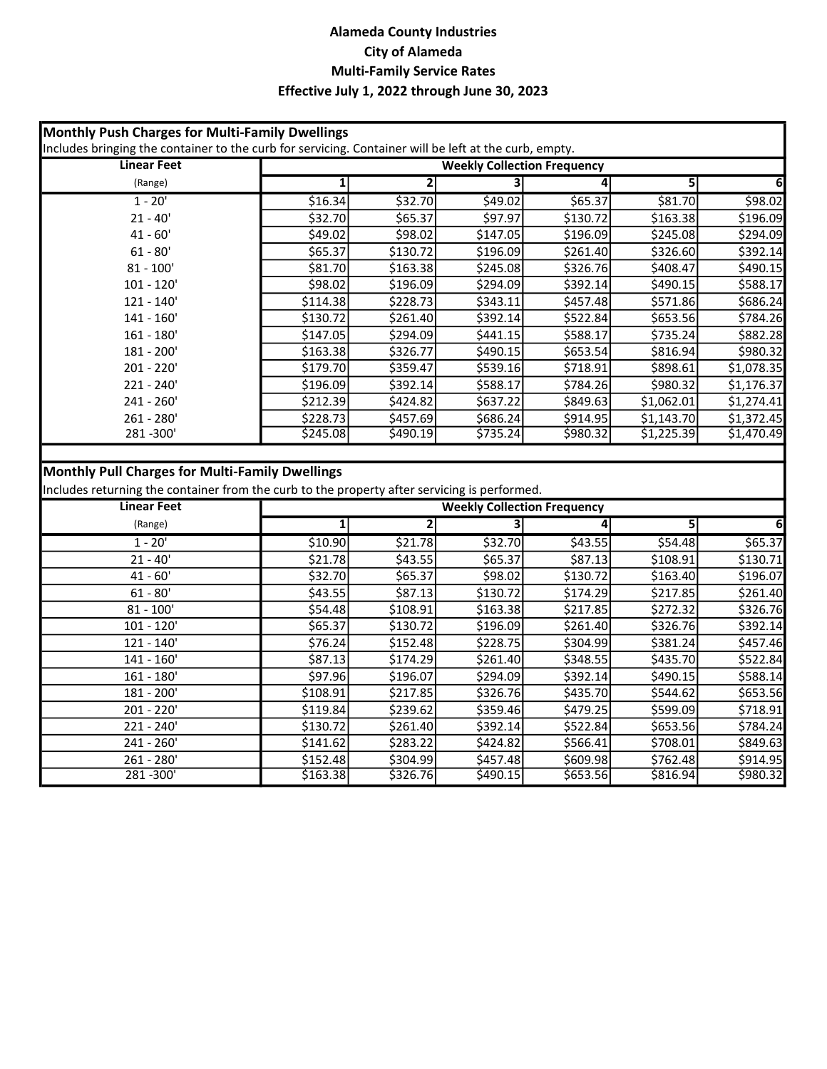| Monthly Push Charges for Multi-Family Dwellings<br>Includes bringing the container to the curb for servicing. Container will be left at the curb, empty. |                         |                         |                                    |          |                |                |
|----------------------------------------------------------------------------------------------------------------------------------------------------------|-------------------------|-------------------------|------------------------------------|----------|----------------|----------------|
| <b>Linear Feet</b>                                                                                                                                       |                         |                         | <b>Weekly Collection Frequency</b> |          |                |                |
| (Range)                                                                                                                                                  | $\overline{\mathbf{1}}$ | $\overline{\mathbf{2}}$ |                                    | 4        | 5              |                |
| $1 - 20'$                                                                                                                                                | \$16.34                 | \$32.70                 | \$49.02                            | \$65.37  | \$81.70        | \$98.02        |
| $21 - 40'$                                                                                                                                               | \$32.70                 | \$65.37                 | \$97.97                            | \$130.72 | \$163.38       | \$196.09       |
| $41 - 60'$                                                                                                                                               | \$49.02                 | \$98.02                 | \$147.05                           | \$196.09 | \$245.08       | \$294.09       |
| $61 - 80'$                                                                                                                                               | \$65.37                 | \$130.72                | \$196.09                           | \$261.40 | \$326.60       | \$392.14       |
| $81 - 100'$                                                                                                                                              | \$81.70                 | \$163.38                | \$245.08                           | \$326.76 | \$408.47       | \$490.15       |
| $101 - 120'$                                                                                                                                             | \$98.02                 | \$196.09                | \$294.09                           | \$392.14 | \$490.15       | \$588.17       |
| $121 - 140'$                                                                                                                                             | \$114.38                | \$228.73                | \$343.11                           | \$457.48 | \$571.86       | \$686.24       |
| $141 - 160'$                                                                                                                                             | \$130.72                | \$261.40                | \$392.14                           | \$522.84 | \$653.56       | \$784.26       |
| $161 - 180'$                                                                                                                                             | \$147.05                | \$294.09                | \$441.15                           | \$588.17 | \$735.24       | \$882.28       |
| 181 - 200'                                                                                                                                               | \$163.38                | \$326.77                | \$490.15                           | \$653.54 | \$816.94       | \$980.32       |
| 201 - 220'                                                                                                                                               | \$179.70                | \$359.47                | \$539.16                           | \$718.91 | \$898.61       | \$1,078.35     |
| 221 - 240'                                                                                                                                               | \$196.09                | \$392.14                | \$588.17                           | \$784.26 | \$980.32       | \$1,176.37     |
| 241 - 260'                                                                                                                                               | \$212.39                | \$424.82                | \$637.22                           | \$849.63 | \$1,062.01     | \$1,274.41     |
| $261 - 280'$                                                                                                                                             | \$228.73                | \$457.69                | \$686.24                           | \$914.95 | \$1,143.70     | \$1,372.45     |
| 281-300'                                                                                                                                                 | \$245.08                | \$490.19                | 5735.24                            | \$980.32 | \$1,225.39     | \$1,470.49     |
| <b>Monthly Pull Charges for Multi-Family Dwellings</b><br>Includes returning the container from the curb to the property after servicing is performed.   |                         |                         |                                    |          |                |                |
| <b>Linear Feet</b>                                                                                                                                       |                         |                         | <b>Weekly Collection Frequency</b> |          |                |                |
| (Range)                                                                                                                                                  | $\overline{1}$          | $\overline{2}$          | 3                                  | 4        | $\overline{5}$ | 6 <sup>1</sup> |
| $1 - 20'$                                                                                                                                                | \$10.90                 | \$21.78                 | \$32.70                            | \$43.55  | \$54.48        | \$65.37        |
| $21 - 40'$                                                                                                                                               | \$21.78                 | \$43.55                 | \$65.37                            | \$87.13  | \$108.91       | \$130.71       |
| $41 - 60'$                                                                                                                                               | \$32.70                 | \$65.37                 | \$98.02                            | \$130.72 | \$163.40       | \$196.07       |
| $61 - 80'$                                                                                                                                               | \$43.55                 | \$87.13                 | \$130.72                           | \$174.29 | \$217.85       | \$261.40       |
| $81 - 100'$                                                                                                                                              | \$54.48                 | \$108.91                | \$163.38                           | \$217.85 | \$272.32       | \$326.76       |
| $101 - 120'$                                                                                                                                             | \$65.37                 | \$130.72                | \$196.09                           | \$261.40 | \$326.76       | \$392.14       |
| $121 - 140'$                                                                                                                                             | \$76.24                 | \$152.48                | \$228.75                           | \$304.99 | \$381.24       | \$457.46       |
| $141 - 160'$                                                                                                                                             | \$87.13                 | \$174.29                | \$261.40                           | \$348.55 | \$435.70       | \$522.84       |
| $161 - 180'$                                                                                                                                             | \$97.96                 | \$196.07                | \$294.09                           | \$392.14 | \$490.15       | \$588.14       |
| 181 - 200'                                                                                                                                               | \$108.91                | \$217.85                | \$326.76                           | \$435.70 | \$544.62       | \$653.56       |
| $201 - 220'$                                                                                                                                             | \$119.84                | \$239.62                | \$359.46                           | \$479.25 | \$599.09       | \$718.91       |
| 221 - 240'                                                                                                                                               | \$130.72                | \$261.40                | \$392.14                           | \$522.84 | \$653.56       | \$784.24       |
| 241 - 260'                                                                                                                                               | \$141.62                | \$283.22                | \$424.82                           | \$566.41 | \$708.01       | \$849.63       |
| $261 - 280'$                                                                                                                                             |                         | 5304.99                 |                                    | \$609.98 | \$762.48       | \$914.95       |
| 281 - 300'                                                                                                                                               | \$152.48<br>\$163.38    | \$326.76                | \$457.48<br>\$490.15               | \$653.56 | \$816.94       | \$980.32       |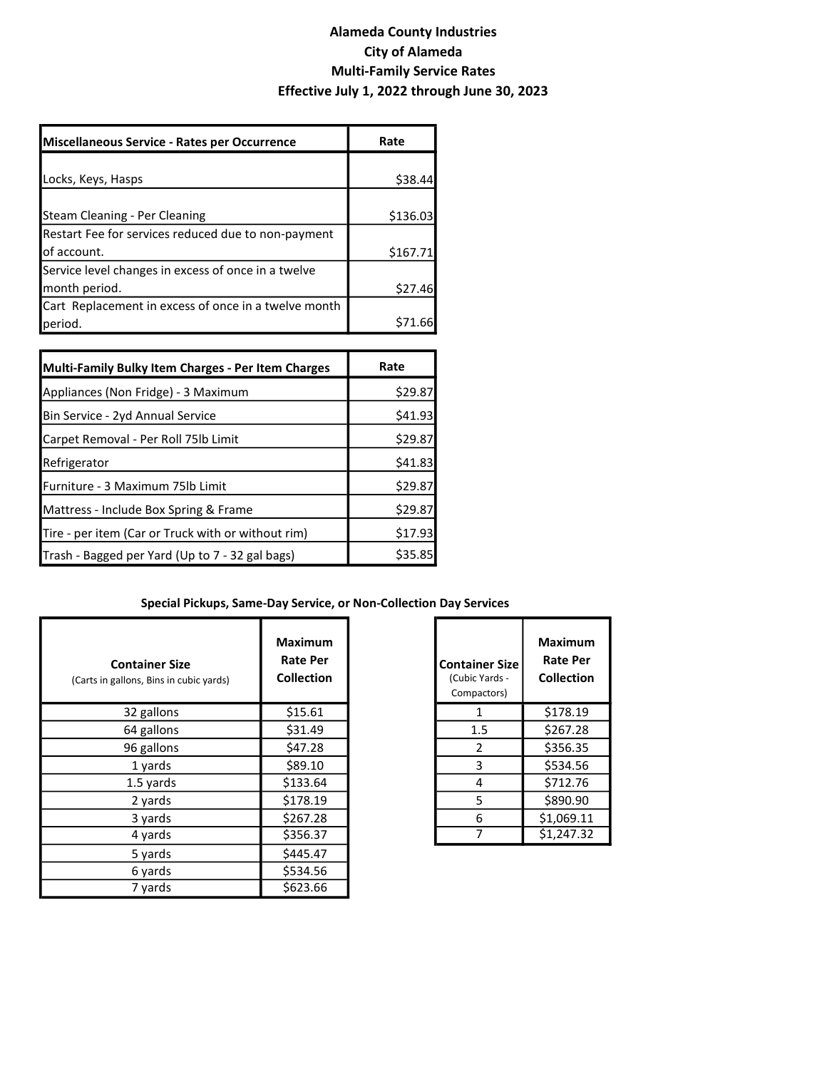| Miscellaneous Service - Rates per Occurrence         | Rate     |
|------------------------------------------------------|----------|
|                                                      |          |
| Locks, Keys, Hasps                                   | \$38.44  |
|                                                      |          |
| Steam Cleaning - Per Cleaning                        | \$136.03 |
| Restart Fee for services reduced due to non-payment  |          |
| lof account.                                         | \$167.71 |
| Service level changes in excess of once in a twelve  |          |
| month period.                                        | \$27.46  |
| Cart Replacement in excess of once in a twelve month |          |
| period.                                              | S71.66   |

| Multi-Family Bulky Item Charges - Per Item Charges | Rate    |
|----------------------------------------------------|---------|
| Appliances (Non Fridge) - 3 Maximum                | \$29.87 |
| Bin Service - 2yd Annual Service                   | \$41.93 |
| Carpet Removal - Per Roll 75lb Limit               | \$29.87 |
| Refrigerator                                       | \$41.83 |
| Furniture - 3 Maximum 75lb Limit                   | \$29.87 |
| Mattress - Include Box Spring & Frame              | \$29.87 |
| Tire - per item (Car or Truck with or without rim) | \$17.93 |
| Trash - Bagged per Yard (Up to 7 - 32 gal bags)    | \$35.85 |

#### Special Pickups, Same-Day Service, or Non-Collection Day Services

| <b>Container Size</b><br>(Carts in gallons, Bins in cubic yards) | <b>Maximum</b><br><b>Rate Per</b><br><b>Collection</b> | <b>Container Size</b><br>(Cubic Yards -<br>Compactors) | <b>Maximum</b><br><b>Rate Per</b><br><b>Collection</b> |
|------------------------------------------------------------------|--------------------------------------------------------|--------------------------------------------------------|--------------------------------------------------------|
| 32 gallons                                                       | \$15.61                                                | 1                                                      | \$178.19                                               |
| 64 gallons                                                       | \$31.49                                                | 1.5                                                    | \$267.28                                               |
| 96 gallons                                                       | \$47.28                                                | 2                                                      | \$356.35                                               |
| 1 yards                                                          | \$89.10                                                | 3                                                      | \$534.56                                               |
| 1.5 yards                                                        | \$133.64                                               | 4                                                      | \$712.76                                               |
| 2 yards                                                          | \$178.19                                               | 5                                                      | \$890.90                                               |
| 3 yards                                                          | \$267.28                                               | 6                                                      | \$1,069.11                                             |
| 4 yards                                                          | \$356.37                                               |                                                        | \$1,247.32                                             |
| 5 yards                                                          | \$445.47                                               |                                                        |                                                        |
| 6 yards                                                          | \$534.56                                               |                                                        |                                                        |
| 7 yards                                                          | \$623.66                                               |                                                        |                                                        |

| <b>Container Size</b><br>(Cubic Yards -<br>Compactors) | Maximum<br><b>Rate Per</b><br>Collection |
|--------------------------------------------------------|------------------------------------------|
| 1                                                      | \$178.19                                 |
| 1.5                                                    | \$267.28                                 |
| 2                                                      | \$356.35                                 |
| 3                                                      | \$534.56                                 |
| 4                                                      | \$712.76                                 |
| 5                                                      | \$890.90                                 |
| 6                                                      | \$1,069.11                               |
|                                                        | \$1,247.32                               |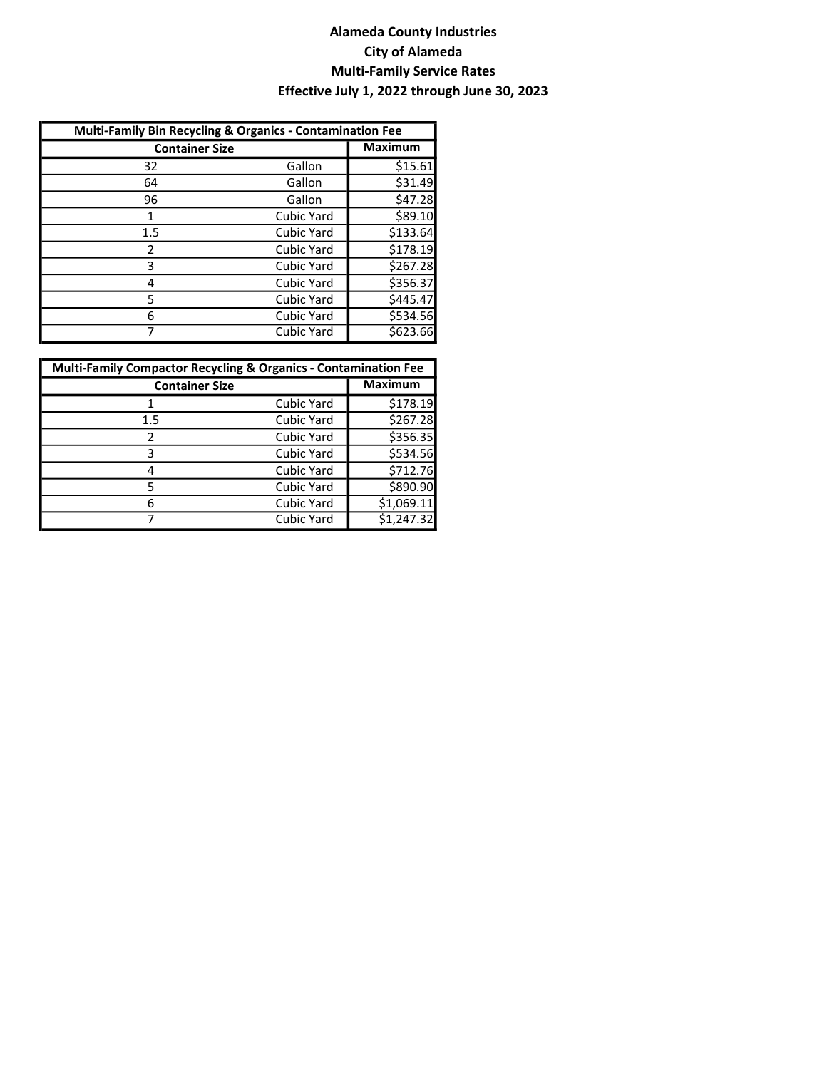| Multi-Family Bin Recycling & Organics - Contamination Fee |                   |                |  |  |
|-----------------------------------------------------------|-------------------|----------------|--|--|
| <b>Container Size</b>                                     |                   | <b>Maximum</b> |  |  |
| 32                                                        | Gallon            | \$15.61        |  |  |
| 64                                                        | Gallon            | \$31.49        |  |  |
| 96                                                        | Gallon            | \$47.28        |  |  |
| 1                                                         | Cubic Yard        | \$89.10        |  |  |
| 1.5                                                       | Cubic Yard        | \$133.64       |  |  |
| 2                                                         | <b>Cubic Yard</b> | \$178.19       |  |  |
| 3                                                         | <b>Cubic Yard</b> | \$267.28       |  |  |
| 4                                                         | Cubic Yard        | \$356.37       |  |  |
| 5                                                         | Cubic Yard        | \$445.47       |  |  |
| 6                                                         | Cubic Yard        | \$534.56       |  |  |
| 7                                                         | <b>Cubic Yard</b> | \$623.66       |  |  |

| <b>Multi-Family Compactor Recycling &amp; Organics - Contamination Fee</b> |                   |                |  |  |
|----------------------------------------------------------------------------|-------------------|----------------|--|--|
| <b>Container Size</b>                                                      |                   | <b>Maximum</b> |  |  |
|                                                                            | Cubic Yard        | \$178.19       |  |  |
| 1.5                                                                        | <b>Cubic Yard</b> | \$267.28       |  |  |
| 2                                                                          | Cubic Yard        | \$356.35       |  |  |
| 3                                                                          | Cubic Yard        | \$534.56       |  |  |
| 4                                                                          | Cubic Yard        | \$712.76       |  |  |
| 5                                                                          | Cubic Yard        | \$890.90       |  |  |
| 6                                                                          | <b>Cubic Yard</b> | \$1,069.11     |  |  |
|                                                                            | Cubic Yard        | \$1,247.32     |  |  |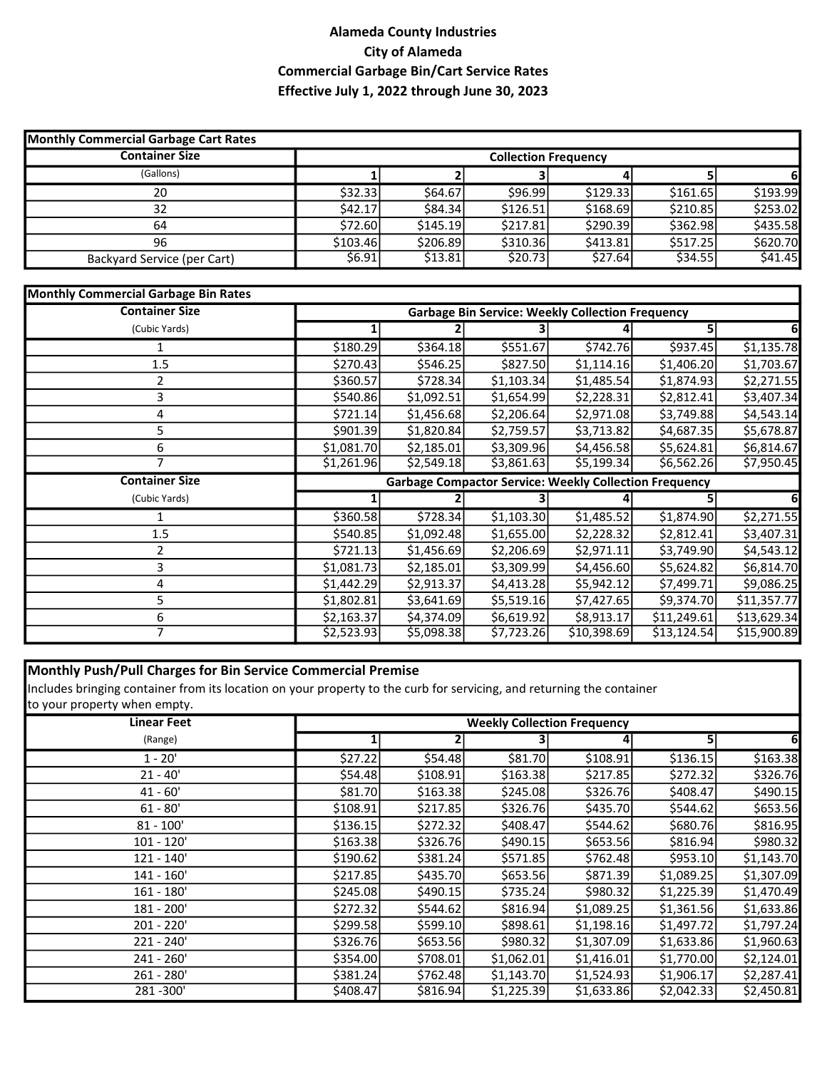## Alameda County Industries City of Alameda Commercial Garbage Bin/Cart Service Rates Effective July 1, 2022 through June 30, 2023

| <b>Monthly Commercial Garbage Cart Rates</b> |          |          |                             |          |          |          |
|----------------------------------------------|----------|----------|-----------------------------|----------|----------|----------|
| <b>Container Size</b>                        |          |          | <b>Collection Frequency</b> |          |          |          |
| (Gallons)                                    |          |          |                             |          |          |          |
| 20                                           | \$32.33  | \$64.67  | \$96.99                     | \$129.33 | \$161.65 | \$193.99 |
| 32                                           | \$42.17  | \$84.34] | \$126.51                    | \$168.69 | \$210.85 | \$253.02 |
| 64                                           | \$72.60  | \$145.19 | \$217.81                    | \$290.39 | \$362.98 | \$435.58 |
| 96                                           | \$103.46 | \$206.89 | \$310.36                    | \$413.81 | \$517.25 | \$620.70 |
| Backyard Service (per Cart)                  | \$6.91   | \$13.81  | \$20.73                     | \$27.64  | \$34.55  | \$41.45  |

| <b>Monthly Commercial Garbage Bin Rates</b> |                                                         |            |                                                               |             |             |             |
|---------------------------------------------|---------------------------------------------------------|------------|---------------------------------------------------------------|-------------|-------------|-------------|
| <b>Container Size</b>                       | <b>Garbage Bin Service: Weekly Collection Frequency</b> |            |                                                               |             |             |             |
| (Cubic Yards)                               |                                                         |            |                                                               |             | 51          | 6           |
|                                             | \$180.29                                                | \$364.18   | \$551.67                                                      | \$742.76    | \$937.45    | \$1,135.78  |
| 1.5                                         | \$270.43                                                | \$546.25   | \$827.50                                                      | \$1,114.16  | \$1,406.20  | \$1,703.67  |
|                                             | \$360.57                                                | \$728.34]  | \$1,103.34                                                    | \$1,485.54  | \$1,874.93  | \$2,271.55  |
| 3                                           | \$540.86                                                | \$1,092.51 | \$1,654.99                                                    | \$2,228.31  | \$2,812.41  | \$3,407.34  |
| 4                                           | \$721.14                                                | \$1,456.68 | \$2,206.64]                                                   | \$2,971.08  | \$3,749.88  | \$4,543.14  |
| 5                                           | \$901.39                                                | \$1,820.84 | \$2,759.57                                                    | \$3,713.82  | \$4,687.35  | \$5,678.87  |
| 6                                           | \$1,081.70                                              | \$2,185.01 | \$3,309.96                                                    | \$4,456.58  | \$5,624.81  | \$6,814.67  |
| 7                                           | \$1,261.96                                              | \$2,549.18 | \$3,861.63                                                    | \$5,199.34  | \$6,562.26  | \$7,950.45  |
| <b>Container Size</b>                       |                                                         |            | <b>Garbage Compactor Service: Weekly Collection Frequency</b> |             |             |             |
| (Cubic Yards)                               |                                                         |            |                                                               |             | 5           | 61          |
|                                             | \$360.58                                                | \$728.34   | \$1,103.30                                                    | \$1,485.52  | \$1,874.90  | \$2,271.55  |
| 1.5                                         | \$540.85                                                | \$1,092.48 | \$1,655.00                                                    | \$2,228.32  | \$2,812.41  | \$3,407.31  |
|                                             | \$721.13                                                | \$1,456.69 | \$2,206.69                                                    | \$2,971.11  | \$3,749.90  | \$4,543.12  |
| 3                                           | \$1,081.73                                              | \$2,185.01 | \$3,309.99                                                    | \$4,456.60  | \$5,624.82  | \$6,814.70  |
| 4                                           | \$1,442.29                                              | \$2,913.37 | \$4,413.28                                                    | \$5,942.12  | \$7,499.71  | \$9,086.25  |
|                                             | \$1,802.81                                              | \$3,641.69 | \$5,519.16                                                    | \$7,427.65  | \$9,374.70  | \$11,357.77 |
| 6                                           | \$2,163.37                                              | \$4,374.09 | \$6,619.92                                                    | \$8,913.17  | \$11,249.61 | \$13,629.34 |
|                                             | \$2,523.93                                              | \$5,098.38 | \$7,723.26                                                    | \$10,398.69 | \$13,124.54 | \$15,900.89 |

#### Monthly Push/Pull Charges for Bin Service Commercial Premise

Includes bringing container from its location on your property to the curb for servicing, and returning the container to your property when empty.

| <b>Linear Feet</b> | <b>Weekly Collection Frequency</b> |           |            |            |            |            |
|--------------------|------------------------------------|-----------|------------|------------|------------|------------|
| (Range)            |                                    |           |            |            | 5          | 6          |
| $1 - 20'$          | \$27.22]                           | \$54.48   | \$81.70    | \$108.91   | \$136.15   | \$163.38   |
| $21 - 40'$         | \$54.48                            | \$108.91  | \$163.38   | \$217.85   | \$272.32   | \$326.76   |
| $41 - 60'$         | \$81.70                            | \$163.38  | \$245.08   | \$326.76   | \$408.47   | \$490.15   |
| $61 - 80'$         | \$108.91                           | \$217.85  | \$326.76   | \$435.70   | \$544.62   | \$653.56   |
| $81 - 100'$        | \$136.15                           | \$272.32  | \$408.47   | \$544.62   | \$680.76   | \$816.95   |
| $101 - 120'$       | \$163.38                           | \$326.76  | \$490.15   | \$653.56   | \$816.94   | \$980.32   |
| $121 - 140'$       | \$190.62                           | \$381.24] | \$571.85   | \$762.48   | \$953.10   | \$1,143.70 |
| $141 - 160'$       | \$217.85                           | \$435.70  | \$653.56   | \$871.39   | \$1,089.25 | \$1,307.09 |
| $161 - 180'$       | \$245.08                           | \$490.15  | \$735.24]  | \$980.32   | \$1,225.39 | \$1,470.49 |
| 181 - 200'         | \$272.32                           | \$544.62  | \$816.94   | \$1,089.25 | \$1,361.56 | \$1,633.86 |
| 201 - 220'         | \$299.58                           | \$599.10  | \$898.61   | \$1,198.16 | \$1,497.72 | \$1,797.24 |
| $221 - 240'$       | \$326.76                           | \$653.56  | \$980.32   | \$1,307.09 | \$1,633.86 | \$1,960.63 |
| $241 - 260'$       | \$354.00                           | \$708.01  | \$1,062.01 | \$1,416.01 | \$1,770.00 | \$2,124.01 |
| $261 - 280'$       | \$381.24                           | \$762.48  | \$1,143.70 | \$1,524.93 | \$1,906.17 | \$2,287.41 |
| 281 - 300'         | \$408.47                           | \$816.94  | \$1,225.39 | \$1,633.86 | \$2,042.33 | \$2,450.81 |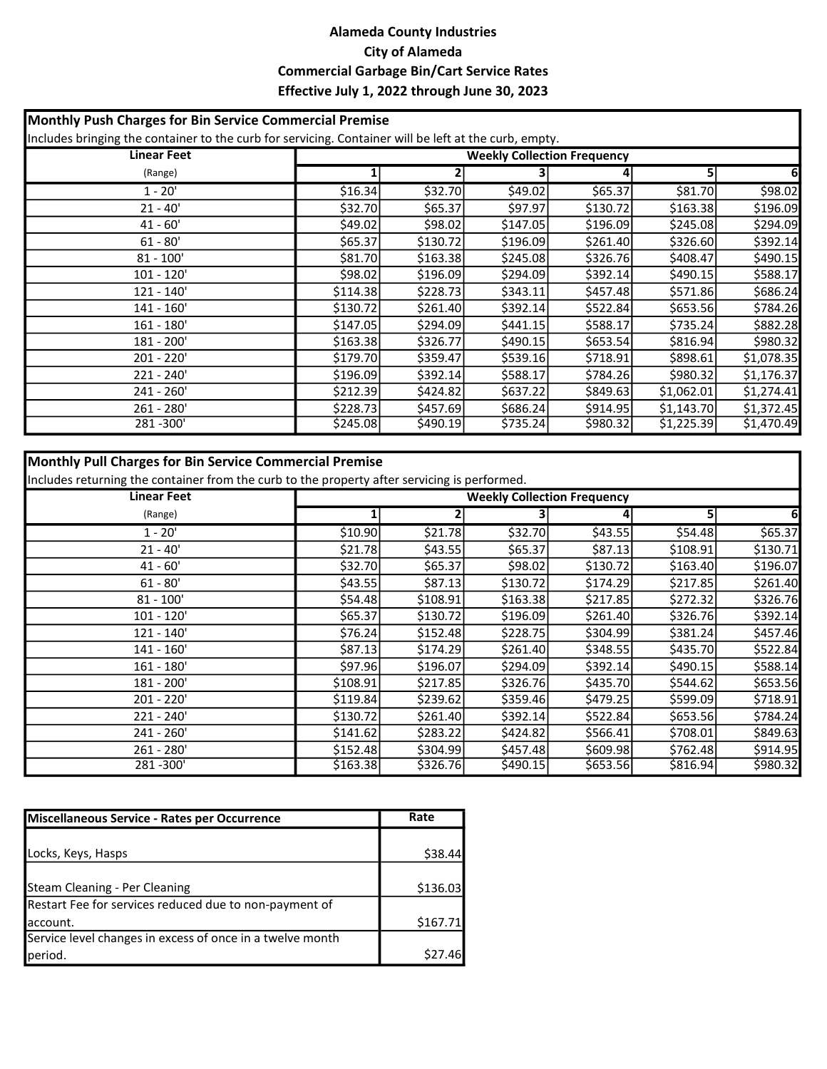### Alameda County Industries City of Alameda Commercial Garbage Bin/Cart Service Rates Effective July 1, 2022 through June 30, 2023

| Monthly Push Charges for Bin Service Commercial Premise |                                                                                                                                             |           |           |           |            |            |
|---------------------------------------------------------|---------------------------------------------------------------------------------------------------------------------------------------------|-----------|-----------|-----------|------------|------------|
| <b>Linear Feet</b>                                      | Includes bringing the container to the curb for servicing. Container will be left at the curb, empty.<br><b>Weekly Collection Frequency</b> |           |           |           |            |            |
| (Range)                                                 |                                                                                                                                             |           |           |           | 51         | 6          |
| $1 - 20'$                                               | \$16.34                                                                                                                                     | \$32.70   | \$49.02   | \$65.37   | \$81.70    | \$98.02    |
| $21 - 40'$                                              | \$32.70                                                                                                                                     | \$65.37   | \$97.97   | \$130.72  | \$163.38   | \$196.09   |
| $41 - 60'$                                              | \$49.02                                                                                                                                     | \$98.02   | \$147.05  | \$196.09  | \$245.08   | \$294.09   |
| $61 - 80'$                                              | \$65.37                                                                                                                                     | \$130.72  | \$196.09  | \$261.40  | \$326.60   | \$392.14   |
| $81 - 100'$                                             | \$81.70                                                                                                                                     | \$163.38  | \$245.08  | \$326.76  | \$408.47   | \$490.15   |
| $101 - 120'$                                            | \$98.02                                                                                                                                     | \$196.09  | \$294.09  | \$392.14] | \$490.15   | \$588.17   |
| $121 - 140'$                                            | \$114.38                                                                                                                                    | \$228.73  | \$343.11  | \$457.48  | \$571.86   | \$686.24   |
| 141 - 160'                                              | \$130.72                                                                                                                                    | \$261.40  | \$392.14] | \$522.84  | \$653.56   | \$784.26   |
| $161 - 180'$                                            | \$147.05                                                                                                                                    | \$294.09  | \$441.15  | \$588.17  | \$735.24   | \$882.28   |
| 181 - 200'                                              | \$163.38                                                                                                                                    | \$326.77  | \$490.15  | \$653.54  | \$816.94   | \$980.32   |
| 201 - 220'                                              | \$179.70                                                                                                                                    | \$359.47  | \$539.16  | \$718.91  | \$898.61   | \$1,078.35 |
| $221 - 240'$                                            | \$196.09                                                                                                                                    | \$392.14] | \$588.17  | \$784.26  | \$980.32   | \$1,176.37 |
| $241 - 260'$                                            | \$212.39                                                                                                                                    | \$424.82  | \$637.22  | \$849.63  | \$1,062.01 | \$1,274.41 |
| $261 - 280'$                                            | \$228.73                                                                                                                                    | \$457.69  | \$686.24  | \$914.95  | \$1,143.70 | \$1,372.45 |
| 281-300'                                                | \$245.08                                                                                                                                    | \$490.19  | \$735.24  | \$980.32  | \$1,225.39 | \$1,470.49 |

## Monthly Pull Charges for Bin Service Commercial Premise

Includes returning the container from the curb to the property after servicing is performed.

| <b>Linear Feet</b> |          | <b>Weekly Collection Frequency</b> |           |           |           |          |
|--------------------|----------|------------------------------------|-----------|-----------|-----------|----------|
| (Range)            |          |                                    |           |           | 5         | 6        |
| $1 - 20'$          | \$10.90  | \$21.78                            | \$32.70   | \$43.55   | \$54.48   | \$65.37  |
| $21 - 40'$         | \$21.78  | \$43.55                            | \$65.37   | \$87.13   | \$108.91  | \$130.71 |
| $41 - 60'$         | \$32.70  | \$65.37                            | \$98.02   | \$130.72  | \$163.40  | \$196.07 |
| $61 - 80'$         | \$43.55  | \$87.13                            | \$130.72  | \$174.29  | \$217.85  | \$261.40 |
| $81 - 100'$        | \$54.48  | \$108.91                           | \$163.38  | \$217.85  | \$272.32  | \$326.76 |
| $101 - 120'$       | \$65.37  | \$130.72                           | \$196.09  | \$261.40  | \$326.76  | \$392.14 |
| $121 - 140'$       | \$76.24  | \$152.48                           | \$228.75  | \$304.99  | \$381.24] | \$457.46 |
| $141 - 160'$       | \$87.13  | \$174.29                           | \$261.40  | \$348.55  | \$435.70  | \$522.84 |
| $161 - 180'$       | \$97.96  | \$196.07                           | \$294.09  | \$392.14] | \$490.15  | \$588.14 |
| 181 - 200'         | \$108.91 | \$217.85                           | \$326.76  | \$435.70  | \$544.62  | \$653.56 |
| 201 - 220'         | \$119.84 | \$239.62                           | \$359.46  | \$479.25  | \$599.09  | \$718.91 |
| $221 - 240'$       | \$130.72 | \$261.40                           | \$392.14] | \$522.84  | \$653.56  | \$784.24 |
| $241 - 260'$       | \$141.62 | \$283.22                           | \$424.82  | \$566.41  | \$708.01  | \$849.63 |
| $261 - 280'$       | \$152.48 | \$304.99                           | \$457.48  | \$609.98  | \$762.48  | \$914.95 |
| 281-300'           | \$163.38 | \$326.76                           | \$490.15  | \$653.56  | \$816.94  | \$980.32 |

| Miscellaneous Service - Rates per Occurrence              | Rate                |
|-----------------------------------------------------------|---------------------|
|                                                           |                     |
| Locks, Keys, Hasps                                        | \$38.44             |
|                                                           |                     |
| Steam Cleaning - Per Cleaning                             | \$136.03            |
| Restart Fee for services reduced due to non-payment of    |                     |
| laccount.                                                 | \$167.71            |
| Service level changes in excess of once in a twelve month |                     |
| period.                                                   | S <sub>27</sub> .46 |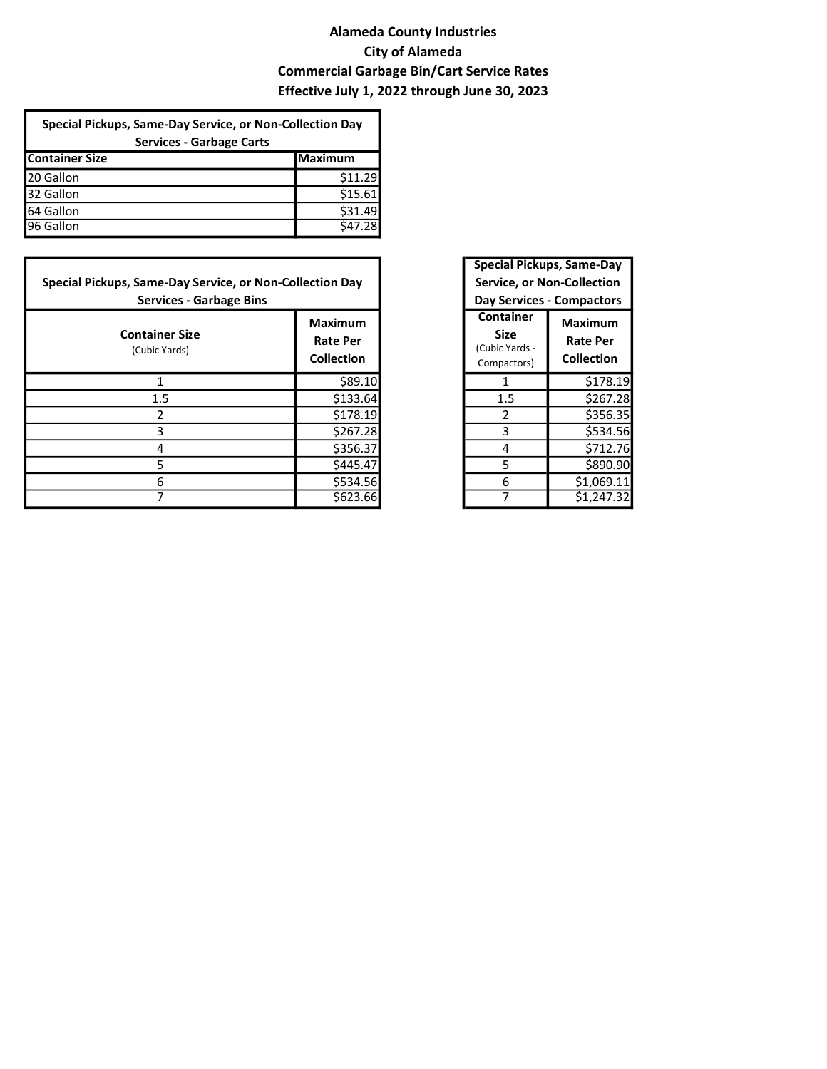## Alameda County Industries City of Alameda Commercial Garbage Bin/Cart Service Rates Effective July 1, 2022 through June 30, 2023

| Special Pickups, Same-Day Service, or Non-Collection Day<br><b>Services - Garbage Carts</b> |         |  |  |
|---------------------------------------------------------------------------------------------|---------|--|--|
| <b>Container Size</b>                                                                       | Maximum |  |  |
| 20 Gallon                                                                                   | \$11.29 |  |  |
| 32 Gallon                                                                                   | \$15.61 |  |  |
| 64 Gallon                                                                                   | \$31.49 |  |  |
| 96 Gallon                                                                                   | \$47.28 |  |  |

| Special Pickups, Same-Day Service, or Non-Collection Day<br><b>Services - Garbage Bins</b> |                                                        |                                                    | Special Pickups, Salile-Day<br><b>Service, or Non-Collection</b><br><b>Day Services - Compactors</b> |
|--------------------------------------------------------------------------------------------|--------------------------------------------------------|----------------------------------------------------|------------------------------------------------------------------------------------------------------|
| <b>Container Size</b><br>(Cubic Yards)                                                     | <b>Maximum</b><br><b>Rate Per</b><br><b>Collection</b> | Container<br>Size<br>(Cubic Yards -<br>Compactors) | <b>Maximum</b><br><b>Rate Per</b><br><b>Collection</b>                                               |
|                                                                                            | \$89.10                                                |                                                    | \$178.19                                                                                             |
| 1.5                                                                                        | \$133.64                                               | 1.5                                                | \$267.28                                                                                             |
| 2                                                                                          | \$178.19                                               |                                                    | \$356.35                                                                                             |
| 3                                                                                          | \$267.28                                               | 3                                                  | \$534.56                                                                                             |
| 4                                                                                          | \$356.37                                               | 4                                                  | \$712.76                                                                                             |
| 5                                                                                          | \$445.47                                               | 5                                                  | \$890.90                                                                                             |
| 6                                                                                          | \$534.56                                               | 6                                                  | \$1,069.11                                                                                           |
|                                                                                            | \$623.66                                               |                                                    | \$1,247.32                                                                                           |

| <b>Special Pickups, Same-Day</b><br><b>Service, or Non-Collection</b> |                                   |  |  |  |  |
|-----------------------------------------------------------------------|-----------------------------------|--|--|--|--|
|                                                                       | <b>Day Services - Compactors</b>  |  |  |  |  |
| <b>Container</b><br>Size<br>(Cubic Yards -<br>Compactors)             | Maximum<br>Rate Per<br>Collection |  |  |  |  |
| 1                                                                     | \$178.19                          |  |  |  |  |
| $1.5\,$                                                               | \$267.28                          |  |  |  |  |
| 2                                                                     | \$356.35                          |  |  |  |  |
| 3                                                                     | \$534.56                          |  |  |  |  |
| 4                                                                     | \$712.76                          |  |  |  |  |
| 5                                                                     | \$890.90                          |  |  |  |  |
| 6                                                                     | \$1,069.11                        |  |  |  |  |
|                                                                       | \$1,247.32                        |  |  |  |  |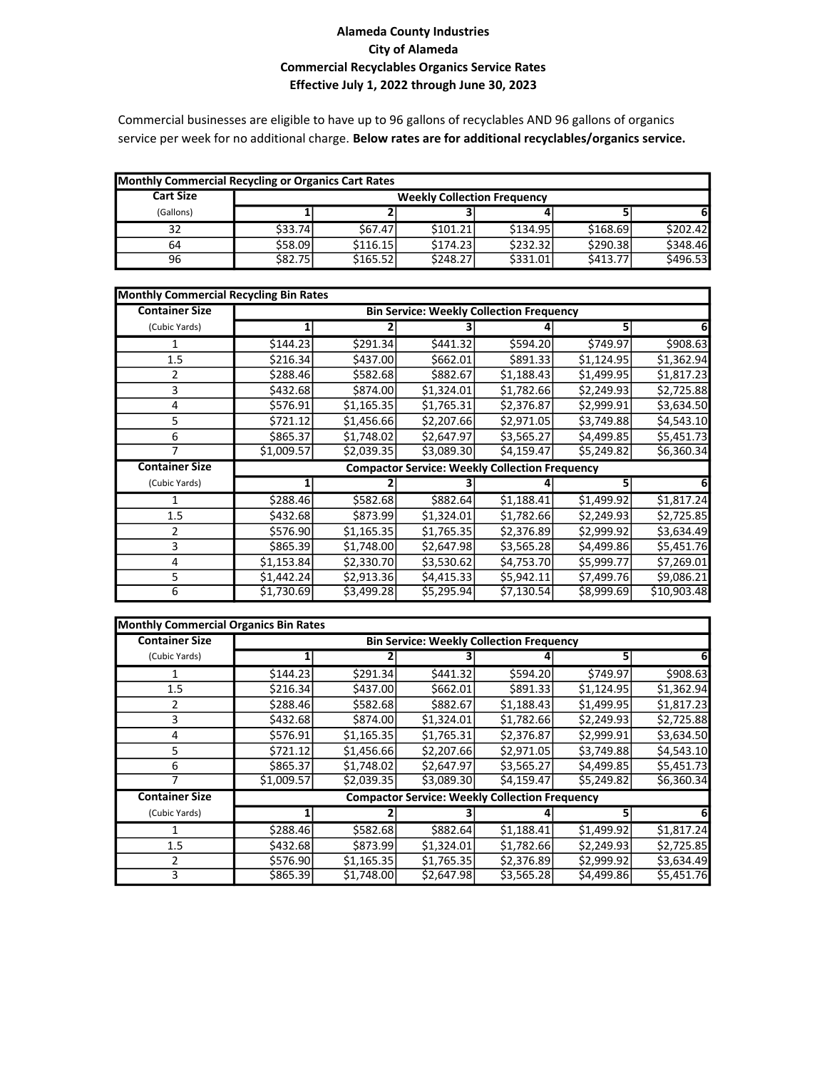#### Alameda County Industries City of Alameda Commercial Recyclables Organics Service Rates Effective July 1, 2022 through June 30, 2023

Commercial businesses are eligible to have up to 96 gallons of recyclables AND 96 gallons of organics service per week for no additional charge. Below rates are for additional recyclables/organics service.

| Monthly Commercial Recycling or Organics Cart Rates |         |          |                                    |          |          |          |
|-----------------------------------------------------|---------|----------|------------------------------------|----------|----------|----------|
| <b>Cart Size</b>                                    |         |          | <b>Weekly Collection Frequency</b> |          |          |          |
| (Gallons)                                           |         |          |                                    |          |          | 61       |
| 32                                                  | \$33.74 | \$67.47  | \$101.21                           | \$134.95 | \$168.69 | \$202.42 |
| 64                                                  | \$58.09 | \$116.15 | \$174.23                           | \$232.32 | \$290.38 | \$348.46 |
| 96                                                  | \$82.75 | \$165.52 | \$248.27                           | \$331.01 | \$413.77 | \$496.53 |

| <b>Monthly Commercial Recycling Bin Rates</b> |            |                                                 |            |                                                       |            |             |  |
|-----------------------------------------------|------------|-------------------------------------------------|------------|-------------------------------------------------------|------------|-------------|--|
| <b>Container Size</b>                         |            | <b>Bin Service: Weekly Collection Frequency</b> |            |                                                       |            |             |  |
| (Cubic Yards)                                 |            |                                                 |            |                                                       | 51         |             |  |
|                                               | \$144.23   | \$291.34                                        | \$441.32   | \$594.20                                              | \$749.97   | \$908.63    |  |
| 1.5                                           | \$216.34   | \$437.00                                        | \$662.01   | \$891.33                                              | \$1,124.95 | \$1,362.94  |  |
| $\mathfrak z$                                 | \$288.461  | \$582.68                                        | \$882.67   | \$1,188.43                                            | \$1,499.95 | \$1,817.23  |  |
| 3                                             | \$432.68   | \$874.00                                        | \$1,324.01 | \$1,782.66                                            | \$2,249.93 | \$2,725.88  |  |
| 4                                             | \$576.91   | \$1,165.35                                      | \$1,765.31 | \$2,376.87                                            | \$2,999.91 | \$3,634.50  |  |
| 5                                             | \$721.12   | \$1,456.66                                      | \$2,207.66 | \$2,971.05                                            | \$3,749.88 | \$4,543.10  |  |
| 6                                             | \$865.37   | \$1,748.02                                      | \$2,647.97 | \$3,565.27                                            | \$4,499.85 | \$5,451.73  |  |
| 7                                             | \$1,009.57 | \$2,039.35                                      | \$3,089.30 | \$4,159.47                                            | \$5,249.82 | \$6,360.34  |  |
| <b>Container Size</b>                         |            |                                                 |            | <b>Compactor Service: Weekly Collection Frequency</b> |            |             |  |
| (Cubic Yards)                                 |            |                                                 |            |                                                       |            |             |  |
|                                               | \$288.46   | \$582.68                                        | \$882.64   | \$1,188.41                                            | \$1,499.92 | \$1,817.24  |  |
| 1.5                                           | \$432.68   | \$873.99                                        | \$1,324.01 | \$1,782.66                                            | \$2,249.93 | \$2,725.85  |  |
| 2                                             | \$576.90   | \$1,165.35                                      | \$1,765.35 | \$2,376.89                                            | \$2,999.92 | \$3,634.49  |  |
| 3                                             | \$865.39   | \$1,748.00                                      | \$2,647.98 | \$3,565.28                                            | \$4,499.86 | \$5,451.76  |  |
| 4                                             | \$1,153.84 | \$2,330.70                                      | \$3,530.62 | \$4,753.70                                            | \$5,999.77 | \$7,269.01  |  |
| 5                                             | \$1,442.24 | \$2,913.36                                      | \$4,415.33 | \$5,942.11                                            | \$7,499.76 | \$9,086.21  |  |
| 6                                             | \$1,730.69 | \$3,499.28                                      | \$5,295.94 | \$7,130.54                                            | \$8,999.69 | \$10,903.48 |  |

| <b>Monthly Commercial Organics Bin Rates</b> |            |                                                 |            |                                                       |            |            |  |
|----------------------------------------------|------------|-------------------------------------------------|------------|-------------------------------------------------------|------------|------------|--|
| <b>Container Size</b>                        |            | <b>Bin Service: Weekly Collection Frequency</b> |            |                                                       |            |            |  |
| (Cubic Yards)                                |            |                                                 |            |                                                       |            | 61         |  |
|                                              | \$144.23   | \$291.34                                        | \$441.32   | \$594.20                                              | \$749.97   | \$908.63   |  |
| 1.5                                          | \$216.34]  | \$437.00                                        | \$662.01   | \$891.33                                              | \$1,124.95 | \$1,362.94 |  |
| 2                                            | \$288.46   | \$582.68                                        | \$882.67   | \$1,188.43                                            | \$1,499.95 | \$1,817.23 |  |
| 3                                            | \$432.68   | \$874.00                                        | \$1,324.01 | \$1,782.66                                            | \$2,249.93 | \$2,725.88 |  |
| 4                                            | \$576.91   | \$1,165.35                                      | \$1,765.31 | \$2,376.87                                            | \$2,999.91 | \$3,634.50 |  |
| 5                                            | \$721.12]  | \$1,456.66                                      | \$2,207.66 | \$2,971.05                                            | \$3,749.88 | \$4,543.10 |  |
| 6                                            | \$865.37   | \$1,748.02                                      | \$2,647.97 | \$3,565.27                                            | \$4,499.85 | \$5,451.73 |  |
|                                              | \$1,009.57 | \$2,039.35                                      | \$3,089.30 | \$4,159.47                                            | \$5,249.82 | \$6,360.34 |  |
| <b>Container Size</b>                        |            |                                                 |            | <b>Compactor Service: Weekly Collection Frequency</b> |            |            |  |
| (Cubic Yards)                                |            |                                                 |            |                                                       |            | 61         |  |
|                                              | \$288.46   | \$582.68                                        | \$882.64   | \$1,188.41                                            | \$1,499.92 | \$1,817.24 |  |
| 1.5                                          | \$432.68   | \$873.99                                        | \$1,324.01 | \$1,782.66                                            | \$2,249.93 | \$2,725.85 |  |
| 2                                            | \$576.90   | \$1,165.35                                      | \$1,765.35 | \$2,376.89                                            | \$2,999.92 | \$3,634.49 |  |
| 3                                            | \$865.39   | \$1,748.00                                      | \$2,647.98 | \$3,565.28                                            | \$4,499.86 | \$5,451.76 |  |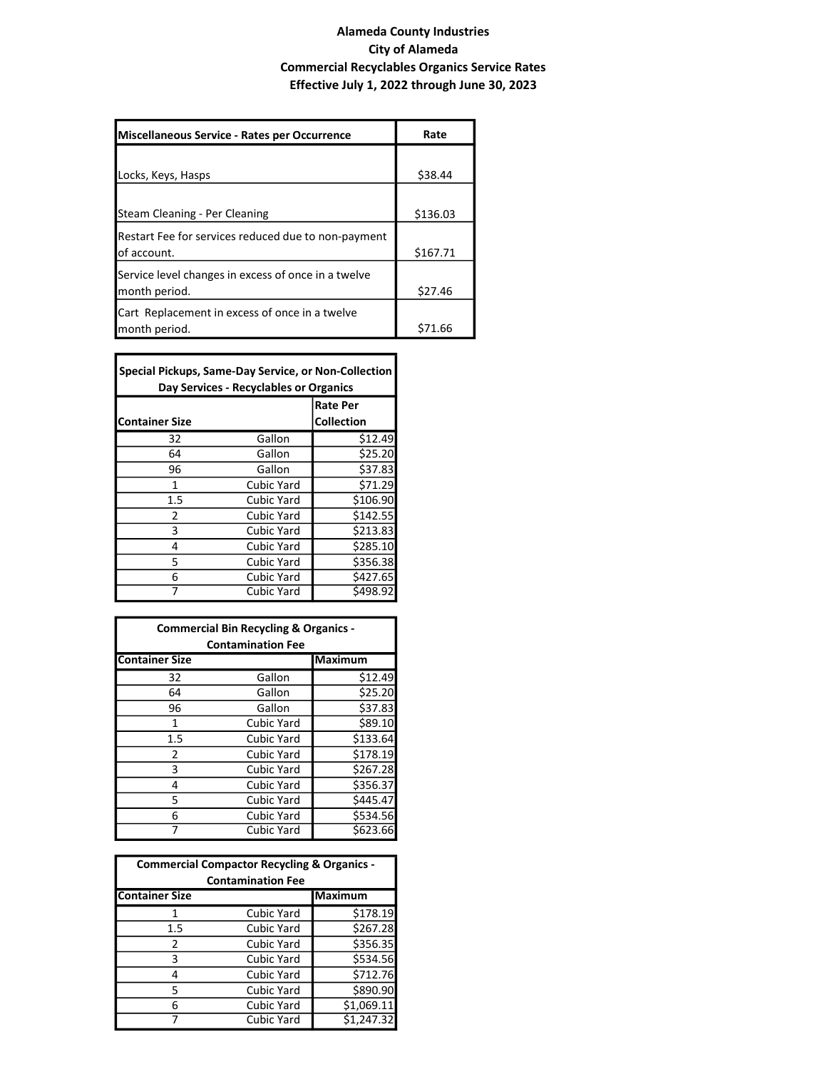#### Alameda County Industries City of Alameda Commercial Recyclables Organics Service Rates Effective July 1, 2022 through June 30, 2023

٦

| Miscellaneous Service - Rates per Occurrence        | Rate     |
|-----------------------------------------------------|----------|
|                                                     |          |
| Locks, Keys, Hasps                                  | \$38.44  |
|                                                     |          |
| Steam Cleaning - Per Cleaning                       | \$136.03 |
| Restart Fee for services reduced due to non-payment |          |
| lof account.                                        | \$167.71 |
| Service level changes in excess of once in a twelve |          |
| month period.                                       | \$27.46  |
| Cart Replacement in excess of once in a twelve      |          |
| month period.                                       | S71.66   |

| Special Pickups, Same-Day Service, or Non-Collection<br>Day Services - Recyclables or Organics |                   |                 |  |  |
|------------------------------------------------------------------------------------------------|-------------------|-----------------|--|--|
|                                                                                                |                   | <b>Rate Per</b> |  |  |
| <b>Container Size</b>                                                                          | <b>Collection</b> |                 |  |  |
| 32                                                                                             | Gallon            | \$12.49         |  |  |
| 64                                                                                             | Gallon            | \$25.20         |  |  |
| 96                                                                                             | Gallon            | \$37.83         |  |  |
| 1                                                                                              | Cubic Yard        | \$71.29         |  |  |
| 1.5                                                                                            | Cubic Yard        | \$106.90        |  |  |
| 2                                                                                              | Cubic Yard        | \$142.55        |  |  |
| 3                                                                                              | Cubic Yard        | \$213.83        |  |  |
| 4                                                                                              | Cubic Yard        | \$285.10        |  |  |
| 5                                                                                              | Cubic Yard        | \$356.38        |  |  |
| 6                                                                                              | Cubic Yard        | \$427.65        |  |  |
|                                                                                                | <b>Cubic Yard</b> | \$498.92        |  |  |

г

| <b>Commercial Bin Recycling &amp; Organics -</b><br><b>Contamination Fee</b> |                   |                |  |  |
|------------------------------------------------------------------------------|-------------------|----------------|--|--|
| <b>Container Size</b>                                                        |                   | <b>Maximum</b> |  |  |
| 32                                                                           | Gallon            | \$12.49        |  |  |
| 64                                                                           | Gallon            | \$25.20        |  |  |
| 96                                                                           | Gallon            | \$37.83        |  |  |
| 1                                                                            | <b>Cubic Yard</b> | \$89.10        |  |  |
| 1.5                                                                          | <b>Cubic Yard</b> | \$133.64       |  |  |
| 2                                                                            | <b>Cubic Yard</b> | \$178.19       |  |  |
| 3                                                                            | <b>Cubic Yard</b> | \$267.28       |  |  |
| 4                                                                            | <b>Cubic Yard</b> | \$356.37       |  |  |
| 5                                                                            | Cubic Yard        | \$445.47       |  |  |
| 6                                                                            | Cubic Yard        | \$534.56       |  |  |
|                                                                              | Cubic Yard        | \$623.66       |  |  |

| <b>Commercial Compactor Recycling &amp; Organics -</b><br><b>Contamination Fee</b> |                   |                |  |  |
|------------------------------------------------------------------------------------|-------------------|----------------|--|--|
| <b>Container Size</b>                                                              |                   | <b>Maximum</b> |  |  |
|                                                                                    | Cubic Yard        | \$178.19       |  |  |
| 1.5                                                                                | <b>Cubic Yard</b> | \$267.28       |  |  |
| 2                                                                                  | <b>Cubic Yard</b> | \$356.35       |  |  |
| 3                                                                                  | <b>Cubic Yard</b> | \$534.56       |  |  |
| 4                                                                                  | Cubic Yard        | \$712.76       |  |  |
| 5                                                                                  | Cubic Yard        | \$890.90       |  |  |
| 6                                                                                  | <b>Cubic Yard</b> | \$1,069.11     |  |  |
|                                                                                    | Cubic Yard        | \$1,247.32     |  |  |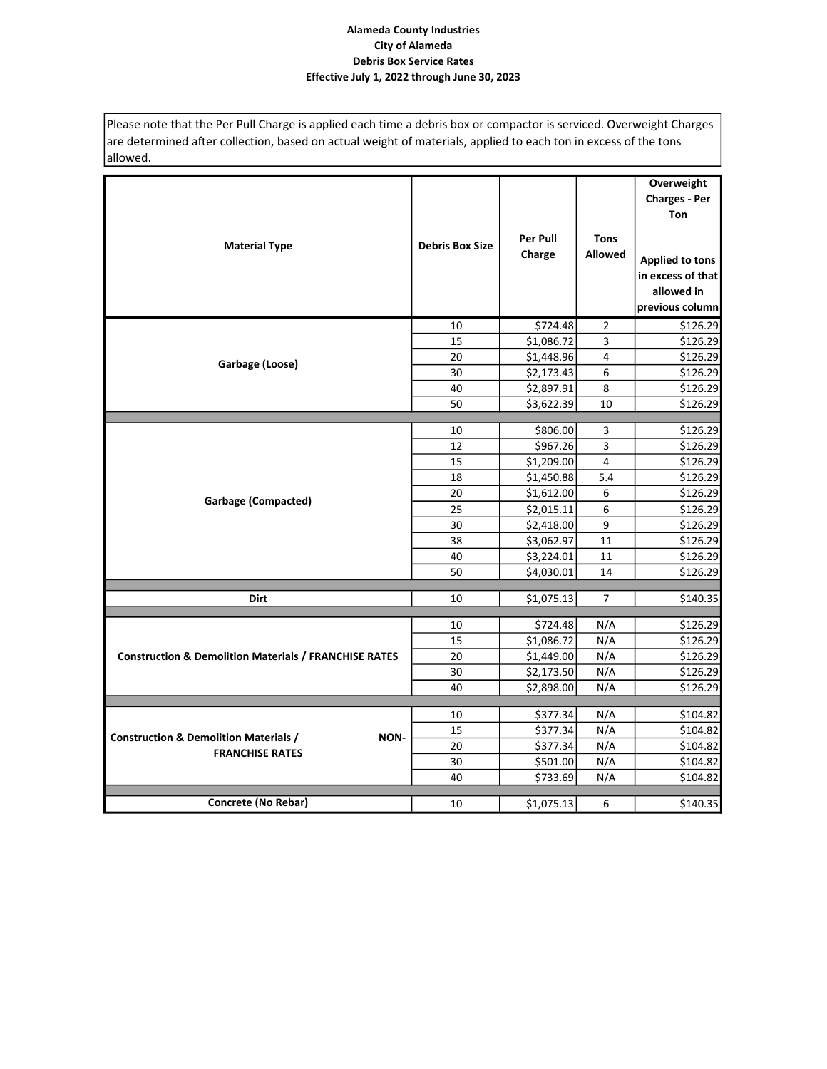Please note that the Per Pull Charge is applied each time a debris box or compactor is serviced. Overweight Charges are determined after collection, based on actual weight of materials, applied to each ton in excess of the tons allowed.

| <b>Material Type</b>                                             | <b>Debris Box Size</b> | <b>Per Pull</b><br>Charge | <b>Tons</b><br><b>Allowed</b> | Overweight<br><b>Charges - Per</b><br><b>Ton</b><br><b>Applied to tons</b><br>in excess of that<br>allowed in<br>previous column |
|------------------------------------------------------------------|------------------------|---------------------------|-------------------------------|----------------------------------------------------------------------------------------------------------------------------------|
|                                                                  | 10                     | \$724.48                  | $\sqrt{2}$                    | \$126.29                                                                                                                         |
|                                                                  | 15                     | \$1,086.72                | $\overline{3}$                | \$126.29                                                                                                                         |
| Garbage (Loose)                                                  | 20                     | \$1,448.96                | 4                             | \$126.29                                                                                                                         |
|                                                                  | 30                     | \$2,173.43                | 6                             | \$126.29                                                                                                                         |
|                                                                  | 40                     | \$2,897.91                | 8                             | \$126.29                                                                                                                         |
|                                                                  | 50                     | \$3,622.39                | 10                            | \$126.29                                                                                                                         |
|                                                                  |                        |                           |                               |                                                                                                                                  |
|                                                                  | 10                     | \$806.00                  | 3                             | \$126.29                                                                                                                         |
|                                                                  | 12                     | \$967.26                  | 3                             | \$126.29                                                                                                                         |
|                                                                  | 15                     | \$1,209.00                | $\overline{4}$                | \$126.29                                                                                                                         |
|                                                                  | 18                     | \$1,450.88                | 5.4                           | \$126.29                                                                                                                         |
| <b>Garbage (Compacted)</b>                                       | 20                     | \$1,612.00                | 6                             | \$126.29                                                                                                                         |
|                                                                  | 25                     | \$2,015.11                | 6                             | \$126.29                                                                                                                         |
|                                                                  | 30                     | \$2,418.00                | 9                             | \$126.29                                                                                                                         |
|                                                                  | 38                     | \$3,062.97                | 11                            | \$126.29                                                                                                                         |
|                                                                  | 40                     | \$3,224.01                | 11                            | \$126.29                                                                                                                         |
|                                                                  | 50                     | \$4,030.01                | 14                            | \$126.29                                                                                                                         |
| <b>Dirt</b>                                                      | 10                     | \$1,075.13                | $\overline{7}$                | \$140.35                                                                                                                         |
|                                                                  | 10                     | \$724.48                  | N/A                           | \$126.29                                                                                                                         |
|                                                                  | 15                     | \$1,086.72                | N/A                           | \$126.29                                                                                                                         |
| <b>Construction &amp; Demolition Materials / FRANCHISE RATES</b> | 20                     | \$1,449.00                | N/A                           | \$126.29                                                                                                                         |
|                                                                  | 30                     | \$2,173.50                | N/A                           | \$126.29                                                                                                                         |
|                                                                  | 40                     | \$2,898.00                | N/A                           | \$126.29                                                                                                                         |
|                                                                  |                        |                           |                               |                                                                                                                                  |
|                                                                  | 10                     | \$377.34                  | N/A                           | \$104.82                                                                                                                         |
| <b>Construction &amp; Demolition Materials /</b><br>NON-         | 15                     | \$377.34                  | N/A                           | \$104.82                                                                                                                         |
| <b>FRANCHISE RATES</b>                                           | 20                     | \$377.34                  | N/A                           | \$104.82                                                                                                                         |
|                                                                  | 30                     | \$501.00                  | N/A                           | \$104.82                                                                                                                         |
|                                                                  | 40                     | \$733.69                  | N/A                           | \$104.82                                                                                                                         |
| <b>Concrete (No Rebar)</b>                                       | 10                     | \$1,075.13                | 6                             | \$140.35                                                                                                                         |